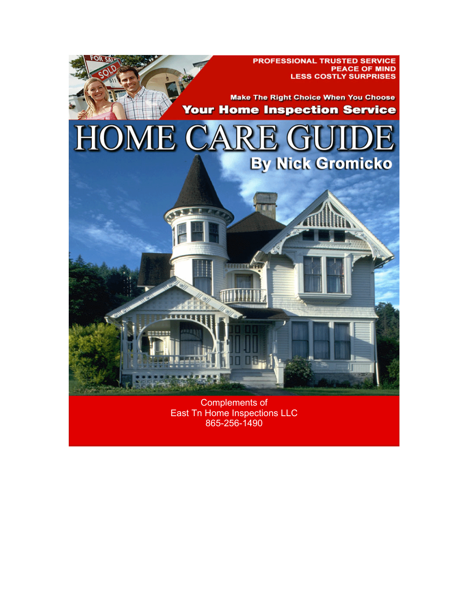

**Complements of** East Tn Home Inspections LLC 865-256-1490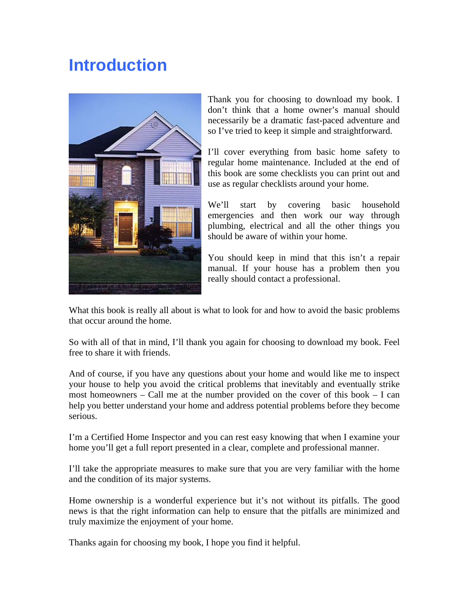# **Introduction**



Thank you for choosing to download my book. I don't think that a home owner's manual should necessarily be a dramatic fast-paced adventure and so I've tried to keep it simple and straightforward.

I'll cover everything from basic home safety to regular home maintenance. Included at the end of this book are some checklists you can print out and use as regular checklists around your home.

We'll start by covering basic household emergencies and then work our way through plumbing, electrical and all the other things you should be aware of within your home.

You should keep in mind that this isn't a repair manual. If your house has a problem then you really should contact a professional.

What this book is really all about is what to look for and how to avoid the basic problems that occur around the home.

So with all of that in mind, I'll thank you again for choosing to download my book. Feel free to share it with friends.

And of course, if you have any questions about your home and would like me to inspect your house to help you avoid the critical problems that inevitably and eventually strike most homeowners – Call me at the number provided on the cover of this book – I can help you better understand your home and address potential problems before they become serious.

I'm a Certified Home Inspector and you can rest easy knowing that when I examine your home you'll get a full report presented in a clear, complete and professional manner.

I'll take the appropriate measures to make sure that you are very familiar with the home and the condition of its major systems.

Home ownership is a wonderful experience but it's not without its pitfalls. The good news is that the right information can help to ensure that the pitfalls are minimized and truly maximize the enjoyment of your home.

Thanks again for choosing my book, I hope you find it helpful.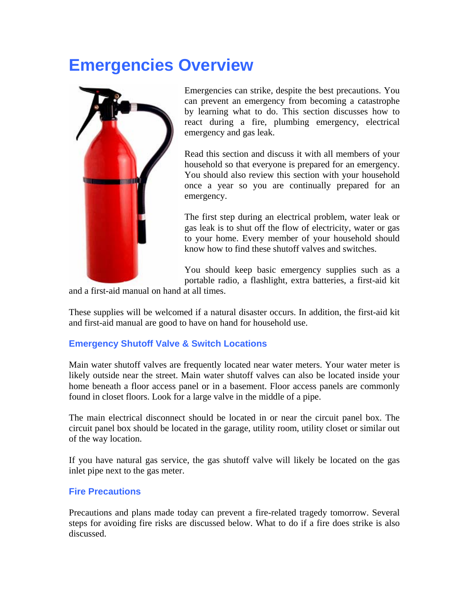# **Emergencies Overview**



Emergencies can strike, despite the best precautions. You can prevent an emergency from becoming a catastrophe by learning what to do. This section discusses how to react during a fire, plumbing emergency, electrical emergency and gas leak.

Read this section and discuss it with all members of your household so that everyone is prepared for an emergency. You should also review this section with your household once a year so you are continually prepared for an emergency.

The first step during an electrical problem, water leak or gas leak is to shut off the flow of electricity, water or gas to your home. Every member of your household should know how to find these shutoff valves and switches.

You should keep basic emergency supplies such as a portable radio, a flashlight, extra batteries, a first-aid kit

and a first-aid manual on hand at all times.

These supplies will be welcomed if a natural disaster occurs. In addition, the first-aid kit and first-aid manual are good to have on hand for household use.

## **Emergency Shutoff Valve & Switch Locations**

Main water shutoff valves are frequently located near water meters. Your water meter is likely outside near the street. Main water shutoff valves can also be located inside your home beneath a floor access panel or in a basement. Floor access panels are commonly found in closet floors. Look for a large valve in the middle of a pipe.

The main electrical disconnect should be located in or near the circuit panel box. The circuit panel box should be located in the garage, utility room, utility closet or similar out of the way location.

If you have natural gas service, the gas shutoff valve will likely be located on the gas inlet pipe next to the gas meter.

## **Fire Precautions**

Precautions and plans made today can prevent a fire-related tragedy tomorrow. Several steps for avoiding fire risks are discussed below. What to do if a fire does strike is also discussed.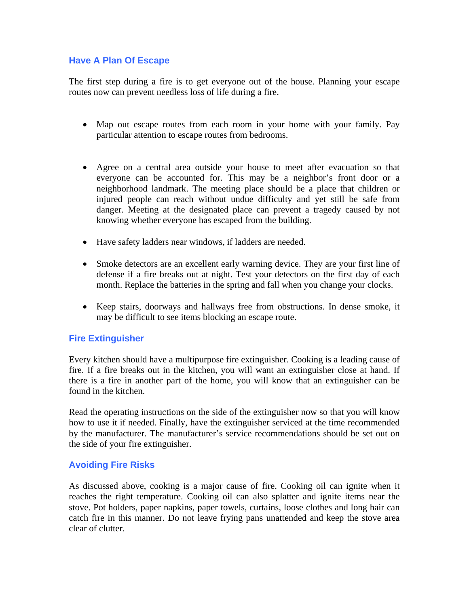## **Have A Plan Of Escape**

The first step during a fire is to get everyone out of the house. Planning your escape routes now can prevent needless loss of life during a fire.

- Map out escape routes from each room in your home with your family. Pay particular attention to escape routes from bedrooms.
- Agree on a central area outside your house to meet after evacuation so that everyone can be accounted for. This may be a neighbor's front door or a neighborhood landmark. The meeting place should be a place that children or injured people can reach without undue difficulty and yet still be safe from danger. Meeting at the designated place can prevent a tragedy caused by not knowing whether everyone has escaped from the building.
- Have safety ladders near windows, if ladders are needed.
- Smoke detectors are an excellent early warning device. They are your first line of defense if a fire breaks out at night. Test your detectors on the first day of each month. Replace the batteries in the spring and fall when you change your clocks.
- Keep stairs, doorways and hallways free from obstructions. In dense smoke, it may be difficult to see items blocking an escape route.

## **Fire Extinguisher**

Every kitchen should have a multipurpose fire extinguisher. Cooking is a leading cause of fire. If a fire breaks out in the kitchen, you will want an extinguisher close at hand. If there is a fire in another part of the home, you will know that an extinguisher can be found in the kitchen.

Read the operating instructions on the side of the extinguisher now so that you will know how to use it if needed. Finally, have the extinguisher serviced at the time recommended by the manufacturer. The manufacturer's service recommendations should be set out on the side of your fire extinguisher.

## **Avoiding Fire Risks**

As discussed above, cooking is a major cause of fire. Cooking oil can ignite when it reaches the right temperature. Cooking oil can also splatter and ignite items near the stove. Pot holders, paper napkins, paper towels, curtains, loose clothes and long hair can catch fire in this manner. Do not leave frying pans unattended and keep the stove area clear of clutter.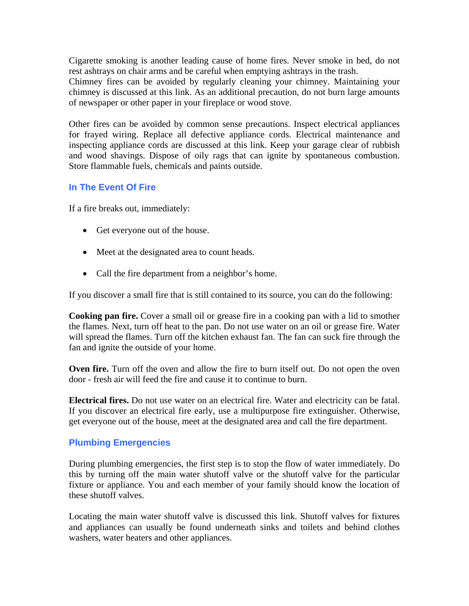Cigarette smoking is another leading cause of home fires. Never smoke in bed, do not rest ashtrays on chair arms and be careful when emptying ashtrays in the trash.

Chimney fires can be avoided by regularly cleaning your chimney. Maintaining your chimney is discussed at this link. As an additional precaution, do not burn large amounts of newspaper or other paper in your fireplace or wood stove.

Other fires can be avoided by common sense precautions. Inspect electrical appliances for frayed wiring. Replace all defective appliance cords. Electrical maintenance and inspecting appliance cords are discussed at this link. Keep your garage clear of rubbish and wood shavings. Dispose of oily rags that can ignite by spontaneous combustion. Store flammable fuels, chemicals and paints outside.

#### **In The Event Of Fire**

If a fire breaks out, immediately:

- Get everyone out of the house.
- Meet at the designated area to count heads.
- Call the fire department from a neighbor's home.

If you discover a small fire that is still contained to its source, you can do the following:

**Cooking pan fire.** Cover a small oil or grease fire in a cooking pan with a lid to smother the flames. Next, turn off heat to the pan. Do not use water on an oil or grease fire. Water will spread the flames. Turn off the kitchen exhaust fan. The fan can suck fire through the fan and ignite the outside of your home.

**Oven fire.** Turn off the oven and allow the fire to burn itself out. Do not open the oven door - fresh air will feed the fire and cause it to continue to burn.

**Electrical fires.** Do not use water on an electrical fire. Water and electricity can be fatal. If you discover an electrical fire early, use a multipurpose fire extinguisher. Otherwise, get everyone out of the house, meet at the designated area and call the fire department.

## **Plumbing Emergencies**

During plumbing emergencies, the first step is to stop the flow of water immediately. Do this by turning off the main water shutoff valve or the shutoff valve for the particular fixture or appliance. You and each member of your family should know the location of these shutoff valves.

Locating the main water shutoff valve is discussed this link. Shutoff valves for fixtures and appliances can usually be found underneath sinks and toilets and behind clothes washers, water heaters and other appliances.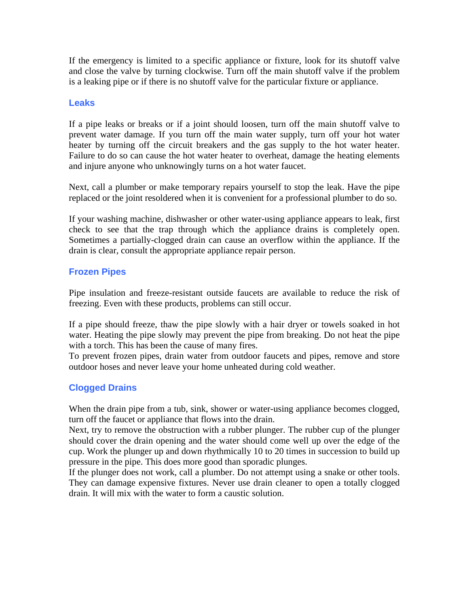If the emergency is limited to a specific appliance or fixture, look for its shutoff valve and close the valve by turning clockwise. Turn off the main shutoff valve if the problem is a leaking pipe or if there is no shutoff valve for the particular fixture or appliance.

## **Leaks**

If a pipe leaks or breaks or if a joint should loosen, turn off the main shutoff valve to prevent water damage. If you turn off the main water supply, turn off your hot water heater by turning off the circuit breakers and the gas supply to the hot water heater. Failure to do so can cause the hot water heater to overheat, damage the heating elements and injure anyone who unknowingly turns on a hot water faucet.

Next, call a plumber or make temporary repairs yourself to stop the leak. Have the pipe replaced or the joint resoldered when it is convenient for a professional plumber to do so.

If your washing machine, dishwasher or other water-using appliance appears to leak, first check to see that the trap through which the appliance drains is completely open. Sometimes a partially-clogged drain can cause an overflow within the appliance. If the drain is clear, consult the appropriate appliance repair person.

## **Frozen Pipes**

Pipe insulation and freeze-resistant outside faucets are available to reduce the risk of freezing. Even with these products, problems can still occur.

If a pipe should freeze, thaw the pipe slowly with a hair dryer or towels soaked in hot water. Heating the pipe slowly may prevent the pipe from breaking. Do not heat the pipe with a torch. This has been the cause of many fires.

To prevent frozen pipes, drain water from outdoor faucets and pipes, remove and store outdoor hoses and never leave your home unheated during cold weather.

## **Clogged Drains**

When the drain pipe from a tub, sink, shower or water-using appliance becomes clogged, turn off the faucet or appliance that flows into the drain.

Next, try to remove the obstruction with a rubber plunger. The rubber cup of the plunger should cover the drain opening and the water should come well up over the edge of the cup. Work the plunger up and down rhythmically 10 to 20 times in succession to build up pressure in the pipe. This does more good than sporadic plunges.

If the plunger does not work, call a plumber. Do not attempt using a snake or other tools. They can damage expensive fixtures. Never use drain cleaner to open a totally clogged drain. It will mix with the water to form a caustic solution.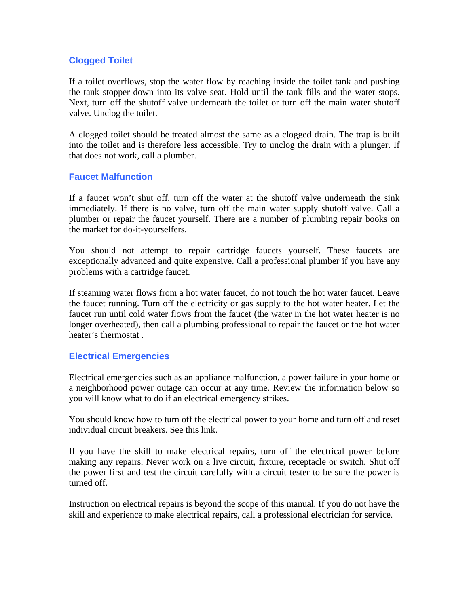## **Clogged Toilet**

If a toilet overflows, stop the water flow by reaching inside the toilet tank and pushing the tank stopper down into its valve seat. Hold until the tank fills and the water stops. Next, turn off the shutoff valve underneath the toilet or turn off the main water shutoff valve. Unclog the toilet.

A clogged toilet should be treated almost the same as a clogged drain. The trap is built into the toilet and is therefore less accessible. Try to unclog the drain with a plunger. If that does not work, call a plumber.

#### **Faucet Malfunction**

If a faucet won't shut off, turn off the water at the shutoff valve underneath the sink immediately. If there is no valve, turn off the main water supply shutoff valve. Call a plumber or repair the faucet yourself. There are a number of plumbing repair books on the market for do-it-yourselfers.

You should not attempt to repair cartridge faucets yourself. These faucets are exceptionally advanced and quite expensive. Call a professional plumber if you have any problems with a cartridge faucet.

If steaming water flows from a hot water faucet, do not touch the hot water faucet. Leave the faucet running. Turn off the electricity or gas supply to the hot water heater. Let the faucet run until cold water flows from the faucet (the water in the hot water heater is no longer overheated), then call a plumbing professional to repair the faucet or the hot water heater's thermostat .

## **Electrical Emergencies**

Electrical emergencies such as an appliance malfunction, a power failure in your home or a neighborhood power outage can occur at any time. Review the information below so you will know what to do if an electrical emergency strikes.

You should know how to turn off the electrical power to your home and turn off and reset individual circuit breakers. See this link.

If you have the skill to make electrical repairs, turn off the electrical power before making any repairs. Never work on a live circuit, fixture, receptacle or switch. Shut off the power first and test the circuit carefully with a circuit tester to be sure the power is turned off.

Instruction on electrical repairs is beyond the scope of this manual. If you do not have the skill and experience to make electrical repairs, call a professional electrician for service.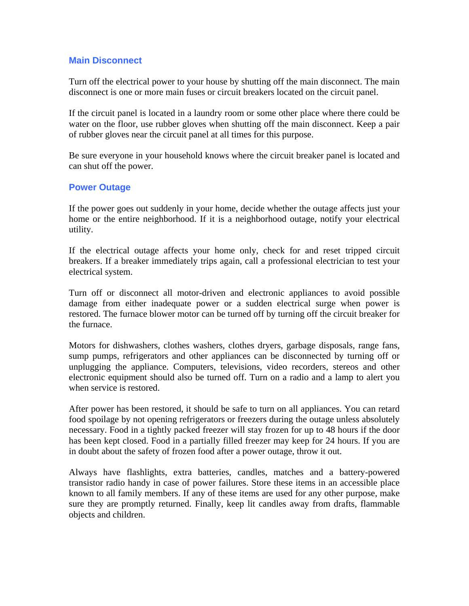## **Main Disconnect**

Turn off the electrical power to your house by shutting off the main disconnect. The main disconnect is one or more main fuses or circuit breakers located on the circuit panel.

If the circuit panel is located in a laundry room or some other place where there could be water on the floor, use rubber gloves when shutting off the main disconnect. Keep a pair of rubber gloves near the circuit panel at all times for this purpose.

Be sure everyone in your household knows where the circuit breaker panel is located and can shut off the power.

#### **Power Outage**

If the power goes out suddenly in your home, decide whether the outage affects just your home or the entire neighborhood. If it is a neighborhood outage, notify your electrical utility.

If the electrical outage affects your home only, check for and reset tripped circuit breakers. If a breaker immediately trips again, call a professional electrician to test your electrical system.

Turn off or disconnect all motor-driven and electronic appliances to avoid possible damage from either inadequate power or a sudden electrical surge when power is restored. The furnace blower motor can be turned off by turning off the circuit breaker for the furnace.

Motors for dishwashers, clothes washers, clothes dryers, garbage disposals, range fans, sump pumps, refrigerators and other appliances can be disconnected by turning off or unplugging the appliance. Computers, televisions, video recorders, stereos and other electronic equipment should also be turned off. Turn on a radio and a lamp to alert you when service is restored.

After power has been restored, it should be safe to turn on all appliances. You can retard food spoilage by not opening refrigerators or freezers during the outage unless absolutely necessary. Food in a tightly packed freezer will stay frozen for up to 48 hours if the door has been kept closed. Food in a partially filled freezer may keep for 24 hours. If you are in doubt about the safety of frozen food after a power outage, throw it out.

Always have flashlights, extra batteries, candles, matches and a battery-powered transistor radio handy in case of power failures. Store these items in an accessible place known to all family members. If any of these items are used for any other purpose, make sure they are promptly returned. Finally, keep lit candles away from drafts, flammable objects and children.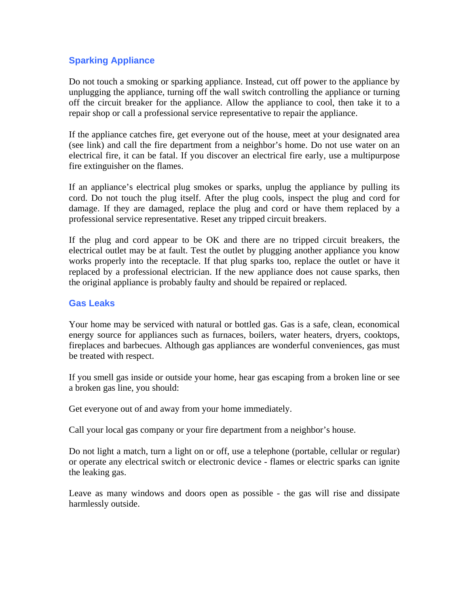## **Sparking Appliance**

Do not touch a smoking or sparking appliance. Instead, cut off power to the appliance by unplugging the appliance, turning off the wall switch controlling the appliance or turning off the circuit breaker for the appliance. Allow the appliance to cool, then take it to a repair shop or call a professional service representative to repair the appliance.

If the appliance catches fire, get everyone out of the house, meet at your designated area (see link) and call the fire department from a neighbor's home. Do not use water on an electrical fire, it can be fatal. If you discover an electrical fire early, use a multipurpose fire extinguisher on the flames.

If an appliance's electrical plug smokes or sparks, unplug the appliance by pulling its cord. Do not touch the plug itself. After the plug cools, inspect the plug and cord for damage. If they are damaged, replace the plug and cord or have them replaced by a professional service representative. Reset any tripped circuit breakers.

If the plug and cord appear to be OK and there are no tripped circuit breakers, the electrical outlet may be at fault. Test the outlet by plugging another appliance you know works properly into the receptacle. If that plug sparks too, replace the outlet or have it replaced by a professional electrician. If the new appliance does not cause sparks, then the original appliance is probably faulty and should be repaired or replaced.

#### **Gas Leaks**

Your home may be serviced with natural or bottled gas. Gas is a safe, clean, economical energy source for appliances such as furnaces, boilers, water heaters, dryers, cooktops, fireplaces and barbecues. Although gas appliances are wonderful conveniences, gas must be treated with respect.

If you smell gas inside or outside your home, hear gas escaping from a broken line or see a broken gas line, you should:

Get everyone out of and away from your home immediately.

Call your local gas company or your fire department from a neighbor's house.

Do not light a match, turn a light on or off, use a telephone (portable, cellular or regular) or operate any electrical switch or electronic device - flames or electric sparks can ignite the leaking gas.

Leave as many windows and doors open as possible - the gas will rise and dissipate harmlessly outside.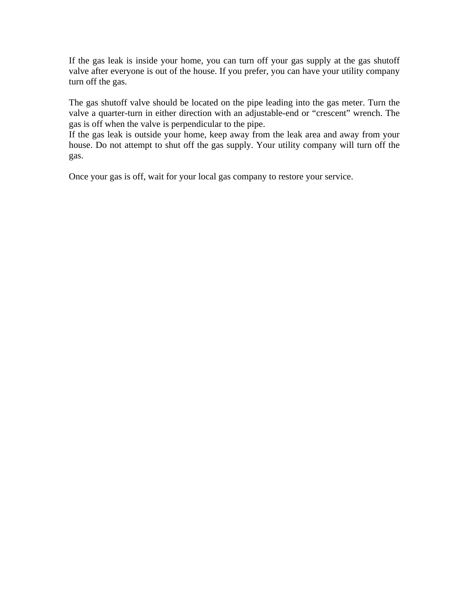If the gas leak is inside your home, you can turn off your gas supply at the gas shutoff valve after everyone is out of the house. If you prefer, you can have your utility company turn off the gas.

The gas shutoff valve should be located on the pipe leading into the gas meter. Turn the valve a quarter-turn in either direction with an adjustable-end or "crescent" wrench. The gas is off when the valve is perpendicular to the pipe.

If the gas leak is outside your home, keep away from the leak area and away from your house. Do not attempt to shut off the gas supply. Your utility company will turn off the gas.

Once your gas is off, wait for your local gas company to restore your service.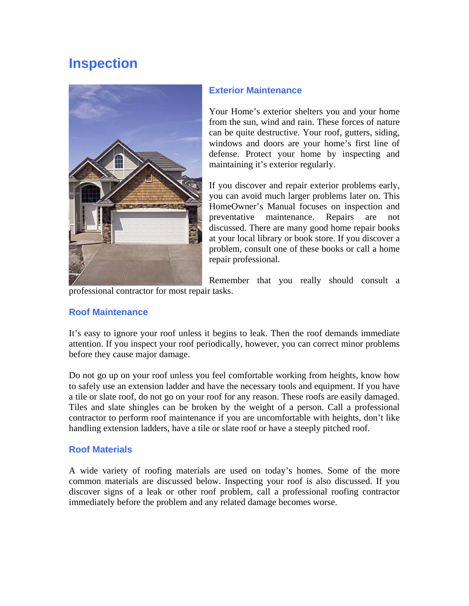## **Inspection**



## **Exterior Maintenance**

Your Home's exterior shelters you and your home from the sun, wind and rain. These forces of nature can be quite destructive. Your roof, gutters, siding, windows and doors are your home's first line of defense. Protect your home by inspecting and maintaining it's exterior regularly.

If you discover and repair exterior problems early, you can avoid much larger problems later on. This HomeOwner's Manual focuses on inspection and preventative maintenance. Repairs are not discussed. There are many good home repair books at your local library or book store. If you discover a problem, consult one of these books or call a home repair professional.

Remember that you really should consult a

professional contractor for most repair tasks.

## **Roof Maintenance**

It's easy to ignore your roof unless it begins to leak. Then the roof demands immediate attention. If you inspect your roof periodically, however, you can correct minor problems before they cause major damage.

Do not go up on your roof unless you feel comfortable working from heights, know how to safely use an extension ladder and have the necessary tools and equipment. If you have a tile or slate roof, do not go on your roof for any reason. These roofs are easily damaged. Tiles and slate shingles can be broken by the weight of a person. Call a professional contractor to perform roof maintenance if you are uncomfortable with heights, don't like handling extension ladders, have a tile or slate roof or have a steeply pitched roof.

## **Roof Materials**

A wide variety of roofing materials are used on today's homes. Some of the more common materials are discussed below. Inspecting your roof is also discussed. If you discover signs of a leak or other roof problem, call a professional roofing contractor immediately before the problem and any related damage becomes worse.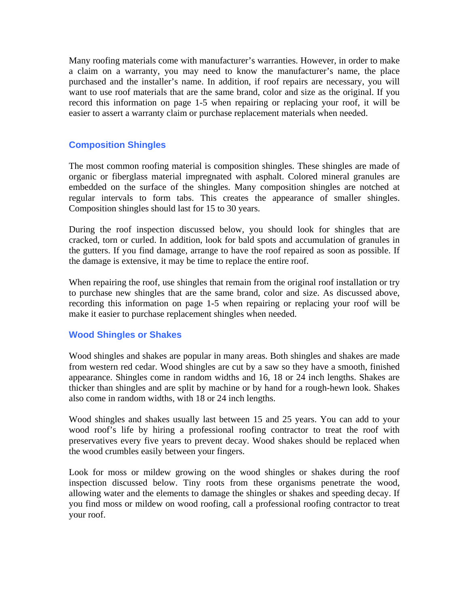Many roofing materials come with manufacturer's warranties. However, in order to make a claim on a warranty, you may need to know the manufacturer's name, the place purchased and the installer's name. In addition, if roof repairs are necessary, you will want to use roof materials that are the same brand, color and size as the original. If you record this information on page 1-5 when repairing or replacing your roof, it will be easier to assert a warranty claim or purchase replacement materials when needed.

#### **Composition Shingles**

The most common roofing material is composition shingles. These shingles are made of organic or fiberglass material impregnated with asphalt. Colored mineral granules are embedded on the surface of the shingles. Many composition shingles are notched at regular intervals to form tabs. This creates the appearance of smaller shingles. Composition shingles should last for 15 to 30 years.

During the roof inspection discussed below, you should look for shingles that are cracked, torn or curled. In addition, look for bald spots and accumulation of granules in the gutters. If you find damage, arrange to have the roof repaired as soon as possible. If the damage is extensive, it may be time to replace the entire roof.

When repairing the roof, use shingles that remain from the original roof installation or try to purchase new shingles that are the same brand, color and size. As discussed above, recording this information on page 1-5 when repairing or replacing your roof will be make it easier to purchase replacement shingles when needed.

## **Wood Shingles or Shakes**

Wood shingles and shakes are popular in many areas. Both shingles and shakes are made from western red cedar. Wood shingles are cut by a saw so they have a smooth, finished appearance. Shingles come in random widths and 16, 18 or 24 inch lengths. Shakes are thicker than shingles and are split by machine or by hand for a rough-hewn look. Shakes also come in random widths, with 18 or 24 inch lengths.

Wood shingles and shakes usually last between 15 and 25 years. You can add to your wood roof's life by hiring a professional roofing contractor to treat the roof with preservatives every five years to prevent decay. Wood shakes should be replaced when the wood crumbles easily between your fingers.

Look for moss or mildew growing on the wood shingles or shakes during the roof inspection discussed below. Tiny roots from these organisms penetrate the wood, allowing water and the elements to damage the shingles or shakes and speeding decay. If you find moss or mildew on wood roofing, call a professional roofing contractor to treat your roof.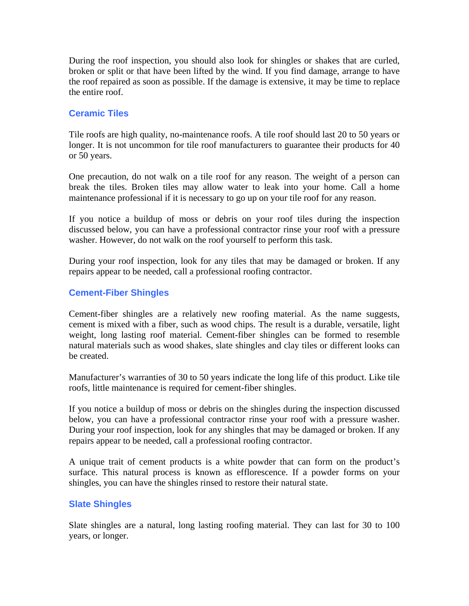During the roof inspection, you should also look for shingles or shakes that are curled, broken or split or that have been lifted by the wind. If you find damage, arrange to have the roof repaired as soon as possible. If the damage is extensive, it may be time to replace the entire roof.

## **Ceramic Tiles**

Tile roofs are high quality, no-maintenance roofs. A tile roof should last 20 to 50 years or longer. It is not uncommon for tile roof manufacturers to guarantee their products for 40 or 50 years.

One precaution, do not walk on a tile roof for any reason. The weight of a person can break the tiles. Broken tiles may allow water to leak into your home. Call a home maintenance professional if it is necessary to go up on your tile roof for any reason.

If you notice a buildup of moss or debris on your roof tiles during the inspection discussed below, you can have a professional contractor rinse your roof with a pressure washer. However, do not walk on the roof yourself to perform this task.

During your roof inspection, look for any tiles that may be damaged or broken. If any repairs appear to be needed, call a professional roofing contractor.

## **Cement-Fiber Shingles**

Cement-fiber shingles are a relatively new roofing material. As the name suggests, cement is mixed with a fiber, such as wood chips. The result is a durable, versatile, light weight, long lasting roof material. Cement-fiber shingles can be formed to resemble natural materials such as wood shakes, slate shingles and clay tiles or different looks can be created.

Manufacturer's warranties of 30 to 50 years indicate the long life of this product. Like tile roofs, little maintenance is required for cement-fiber shingles.

If you notice a buildup of moss or debris on the shingles during the inspection discussed below, you can have a professional contractor rinse your roof with a pressure washer. During your roof inspection, look for any shingles that may be damaged or broken. If any repairs appear to be needed, call a professional roofing contractor.

A unique trait of cement products is a white powder that can form on the product's surface. This natural process is known as efflorescence. If a powder forms on your shingles, you can have the shingles rinsed to restore their natural state.

## **Slate Shingles**

Slate shingles are a natural, long lasting roofing material. They can last for 30 to 100 years, or longer.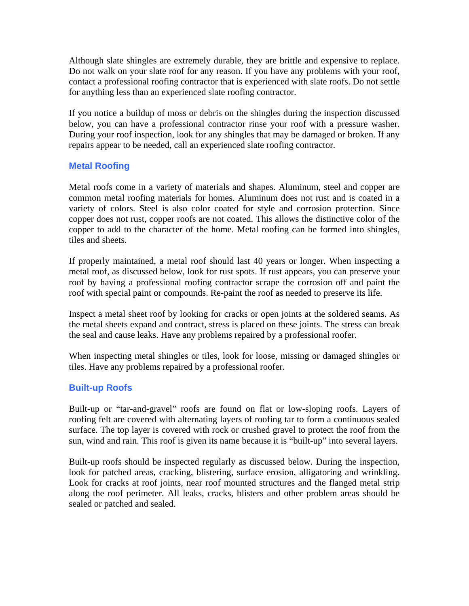Although slate shingles are extremely durable, they are brittle and expensive to replace. Do not walk on your slate roof for any reason. If you have any problems with your roof, contact a professional roofing contractor that is experienced with slate roofs. Do not settle for anything less than an experienced slate roofing contractor.

If you notice a buildup of moss or debris on the shingles during the inspection discussed below, you can have a professional contractor rinse your roof with a pressure washer. During your roof inspection, look for any shingles that may be damaged or broken. If any repairs appear to be needed, call an experienced slate roofing contractor.

## **Metal Roofing**

Metal roofs come in a variety of materials and shapes. Aluminum, steel and copper are common metal roofing materials for homes. Aluminum does not rust and is coated in a variety of colors. Steel is also color coated for style and corrosion protection. Since copper does not rust, copper roofs are not coated. This allows the distinctive color of the copper to add to the character of the home. Metal roofing can be formed into shingles, tiles and sheets.

If properly maintained, a metal roof should last 40 years or longer. When inspecting a metal roof, as discussed below, look for rust spots. If rust appears, you can preserve your roof by having a professional roofing contractor scrape the corrosion off and paint the roof with special paint or compounds. Re-paint the roof as needed to preserve its life.

Inspect a metal sheet roof by looking for cracks or open joints at the soldered seams. As the metal sheets expand and contract, stress is placed on these joints. The stress can break the seal and cause leaks. Have any problems repaired by a professional roofer.

When inspecting metal shingles or tiles, look for loose, missing or damaged shingles or tiles. Have any problems repaired by a professional roofer.

## **Built-up Roofs**

Built-up or "tar-and-gravel" roofs are found on flat or low-sloping roofs. Layers of roofing felt are covered with alternating layers of roofing tar to form a continuous sealed surface. The top layer is covered with rock or crushed gravel to protect the roof from the sun, wind and rain. This roof is given its name because it is "built-up" into several layers.

Built-up roofs should be inspected regularly as discussed below. During the inspection, look for patched areas, cracking, blistering, surface erosion, alligatoring and wrinkling. Look for cracks at roof joints, near roof mounted structures and the flanged metal strip along the roof perimeter. All leaks, cracks, blisters and other problem areas should be sealed or patched and sealed.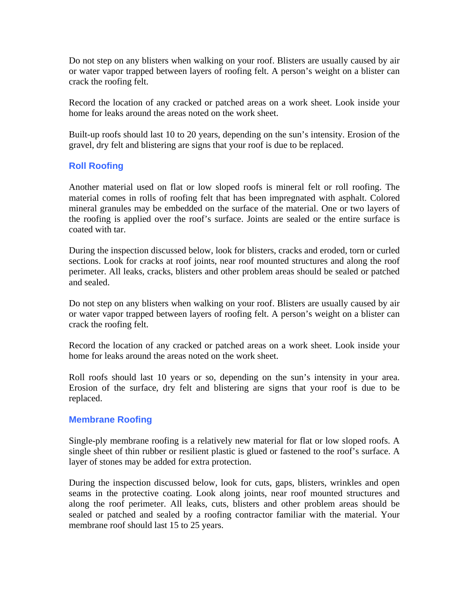Do not step on any blisters when walking on your roof. Blisters are usually caused by air or water vapor trapped between layers of roofing felt. A person's weight on a blister can crack the roofing felt.

Record the location of any cracked or patched areas on a work sheet. Look inside your home for leaks around the areas noted on the work sheet.

Built-up roofs should last 10 to 20 years, depending on the sun's intensity. Erosion of the gravel, dry felt and blistering are signs that your roof is due to be replaced.

## **Roll Roofing**

Another material used on flat or low sloped roofs is mineral felt or roll roofing. The material comes in rolls of roofing felt that has been impregnated with asphalt. Colored mineral granules may be embedded on the surface of the material. One or two layers of the roofing is applied over the roof's surface. Joints are sealed or the entire surface is coated with tar.

During the inspection discussed below, look for blisters, cracks and eroded, torn or curled sections. Look for cracks at roof joints, near roof mounted structures and along the roof perimeter. All leaks, cracks, blisters and other problem areas should be sealed or patched and sealed.

Do not step on any blisters when walking on your roof. Blisters are usually caused by air or water vapor trapped between layers of roofing felt. A person's weight on a blister can crack the roofing felt.

Record the location of any cracked or patched areas on a work sheet. Look inside your home for leaks around the areas noted on the work sheet.

Roll roofs should last 10 years or so, depending on the sun's intensity in your area. Erosion of the surface, dry felt and blistering are signs that your roof is due to be replaced.

#### **Membrane Roofing**

Single-ply membrane roofing is a relatively new material for flat or low sloped roofs. A single sheet of thin rubber or resilient plastic is glued or fastened to the roof's surface. A layer of stones may be added for extra protection.

During the inspection discussed below, look for cuts, gaps, blisters, wrinkles and open seams in the protective coating. Look along joints, near roof mounted structures and along the roof perimeter. All leaks, cuts, blisters and other problem areas should be sealed or patched and sealed by a roofing contractor familiar with the material. Your membrane roof should last 15 to 25 years.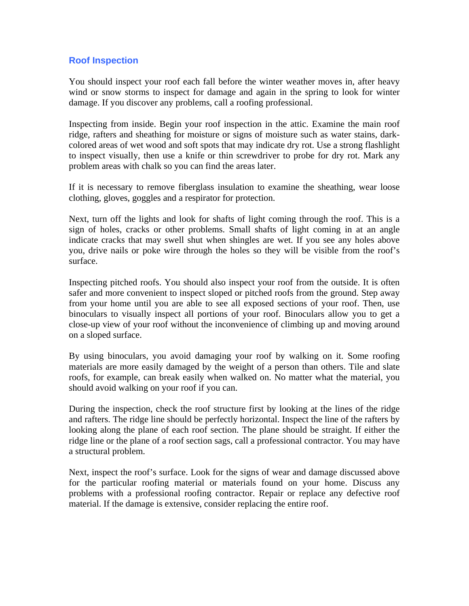## **Roof Inspection**

You should inspect your roof each fall before the winter weather moves in, after heavy wind or snow storms to inspect for damage and again in the spring to look for winter damage. If you discover any problems, call a roofing professional.

Inspecting from inside. Begin your roof inspection in the attic. Examine the main roof ridge, rafters and sheathing for moisture or signs of moisture such as water stains, darkcolored areas of wet wood and soft spots that may indicate dry rot. Use a strong flashlight to inspect visually, then use a knife or thin screwdriver to probe for dry rot. Mark any problem areas with chalk so you can find the areas later.

If it is necessary to remove fiberglass insulation to examine the sheathing, wear loose clothing, gloves, goggles and a respirator for protection.

Next, turn off the lights and look for shafts of light coming through the roof. This is a sign of holes, cracks or other problems. Small shafts of light coming in at an angle indicate cracks that may swell shut when shingles are wet. If you see any holes above you, drive nails or poke wire through the holes so they will be visible from the roof's surface.

Inspecting pitched roofs. You should also inspect your roof from the outside. It is often safer and more convenient to inspect sloped or pitched roofs from the ground. Step away from your home until you are able to see all exposed sections of your roof. Then, use binoculars to visually inspect all portions of your roof. Binoculars allow you to get a close-up view of your roof without the inconvenience of climbing up and moving around on a sloped surface.

By using binoculars, you avoid damaging your roof by walking on it. Some roofing materials are more easily damaged by the weight of a person than others. Tile and slate roofs, for example, can break easily when walked on. No matter what the material, you should avoid walking on your roof if you can.

During the inspection, check the roof structure first by looking at the lines of the ridge and rafters. The ridge line should be perfectly horizontal. Inspect the line of the rafters by looking along the plane of each roof section. The plane should be straight. If either the ridge line or the plane of a roof section sags, call a professional contractor. You may have a structural problem.

Next, inspect the roof's surface. Look for the signs of wear and damage discussed above for the particular roofing material or materials found on your home. Discuss any problems with a professional roofing contractor. Repair or replace any defective roof material. If the damage is extensive, consider replacing the entire roof.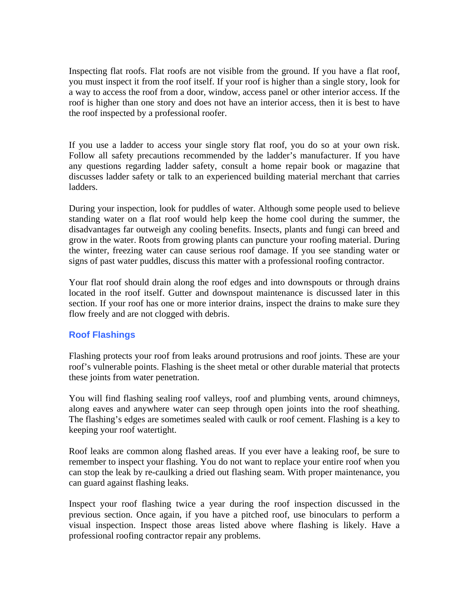Inspecting flat roofs. Flat roofs are not visible from the ground. If you have a flat roof, you must inspect it from the roof itself. If your roof is higher than a single story, look for a way to access the roof from a door, window, access panel or other interior access. If the roof is higher than one story and does not have an interior access, then it is best to have the roof inspected by a professional roofer.

If you use a ladder to access your single story flat roof, you do so at your own risk. Follow all safety precautions recommended by the ladder's manufacturer. If you have any questions regarding ladder safety, consult a home repair book or magazine that discusses ladder safety or talk to an experienced building material merchant that carries ladders.

During your inspection, look for puddles of water. Although some people used to believe standing water on a flat roof would help keep the home cool during the summer, the disadvantages far outweigh any cooling benefits. Insects, plants and fungi can breed and grow in the water. Roots from growing plants can puncture your roofing material. During the winter, freezing water can cause serious roof damage. If you see standing water or signs of past water puddles, discuss this matter with a professional roofing contractor.

Your flat roof should drain along the roof edges and into downspouts or through drains located in the roof itself. Gutter and downspout maintenance is discussed later in this section. If your roof has one or more interior drains, inspect the drains to make sure they flow freely and are not clogged with debris.

## **Roof Flashings**

Flashing protects your roof from leaks around protrusions and roof joints. These are your roof's vulnerable points. Flashing is the sheet metal or other durable material that protects these joints from water penetration.

You will find flashing sealing roof valleys, roof and plumbing vents, around chimneys, along eaves and anywhere water can seep through open joints into the roof sheathing. The flashing's edges are sometimes sealed with caulk or roof cement. Flashing is a key to keeping your roof watertight.

Roof leaks are common along flashed areas. If you ever have a leaking roof, be sure to remember to inspect your flashing. You do not want to replace your entire roof when you can stop the leak by re-caulking a dried out flashing seam. With proper maintenance, you can guard against flashing leaks.

Inspect your roof flashing twice a year during the roof inspection discussed in the previous section. Once again, if you have a pitched roof, use binoculars to perform a visual inspection. Inspect those areas listed above where flashing is likely. Have a professional roofing contractor repair any problems.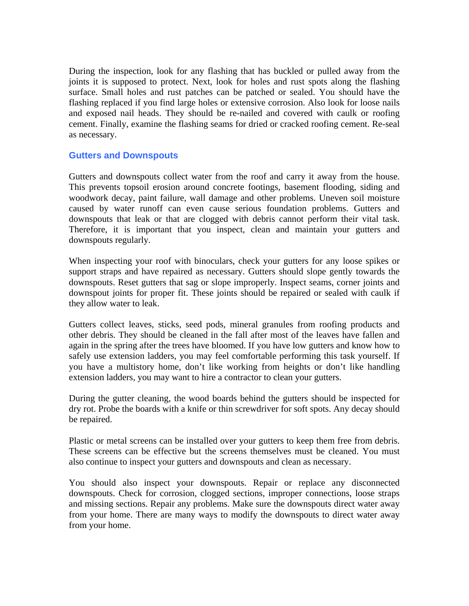During the inspection, look for any flashing that has buckled or pulled away from the joints it is supposed to protect. Next, look for holes and rust spots along the flashing surface. Small holes and rust patches can be patched or sealed. You should have the flashing replaced if you find large holes or extensive corrosion. Also look for loose nails and exposed nail heads. They should be re-nailed and covered with caulk or roofing cement. Finally, examine the flashing seams for dried or cracked roofing cement. Re-seal as necessary.

#### **Gutters and Downspouts**

Gutters and downspouts collect water from the roof and carry it away from the house. This prevents topsoil erosion around concrete footings, basement flooding, siding and woodwork decay, paint failure, wall damage and other problems. Uneven soil moisture caused by water runoff can even cause serious foundation problems. Gutters and downspouts that leak or that are clogged with debris cannot perform their vital task. Therefore, it is important that you inspect, clean and maintain your gutters and downspouts regularly.

When inspecting your roof with binoculars, check your gutters for any loose spikes or support straps and have repaired as necessary. Gutters should slope gently towards the downspouts. Reset gutters that sag or slope improperly. Inspect seams, corner joints and downspout joints for proper fit. These joints should be repaired or sealed with caulk if they allow water to leak.

Gutters collect leaves, sticks, seed pods, mineral granules from roofing products and other debris. They should be cleaned in the fall after most of the leaves have fallen and again in the spring after the trees have bloomed. If you have low gutters and know how to safely use extension ladders, you may feel comfortable performing this task yourself. If you have a multistory home, don't like working from heights or don't like handling extension ladders, you may want to hire a contractor to clean your gutters.

During the gutter cleaning, the wood boards behind the gutters should be inspected for dry rot. Probe the boards with a knife or thin screwdriver for soft spots. Any decay should be repaired.

Plastic or metal screens can be installed over your gutters to keep them free from debris. These screens can be effective but the screens themselves must be cleaned. You must also continue to inspect your gutters and downspouts and clean as necessary.

You should also inspect your downspouts. Repair or replace any disconnected downspouts. Check for corrosion, clogged sections, improper connections, loose straps and missing sections. Repair any problems. Make sure the downspouts direct water away from your home. There are many ways to modify the downspouts to direct water away from your home.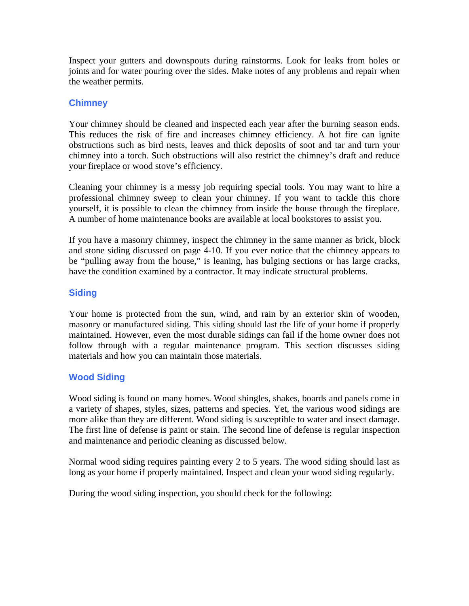Inspect your gutters and downspouts during rainstorms. Look for leaks from holes or joints and for water pouring over the sides. Make notes of any problems and repair when the weather permits.

## **Chimney**

Your chimney should be cleaned and inspected each year after the burning season ends. This reduces the risk of fire and increases chimney efficiency. A hot fire can ignite obstructions such as bird nests, leaves and thick deposits of soot and tar and turn your chimney into a torch. Such obstructions will also restrict the chimney's draft and reduce your fireplace or wood stove's efficiency.

Cleaning your chimney is a messy job requiring special tools. You may want to hire a professional chimney sweep to clean your chimney. If you want to tackle this chore yourself, it is possible to clean the chimney from inside the house through the fireplace. A number of home maintenance books are available at local bookstores to assist you.

If you have a masonry chimney, inspect the chimney in the same manner as brick, block and stone siding discussed on page 4-10. If you ever notice that the chimney appears to be "pulling away from the house," is leaning, has bulging sections or has large cracks, have the condition examined by a contractor. It may indicate structural problems.

## **Siding**

Your home is protected from the sun, wind, and rain by an exterior skin of wooden, masonry or manufactured siding. This siding should last the life of your home if properly maintained. However, even the most durable sidings can fail if the home owner does not follow through with a regular maintenance program. This section discusses siding materials and how you can maintain those materials.

## **Wood Siding**

Wood siding is found on many homes. Wood shingles, shakes, boards and panels come in a variety of shapes, styles, sizes, patterns and species. Yet, the various wood sidings are more alike than they are different. Wood siding is susceptible to water and insect damage. The first line of defense is paint or stain. The second line of defense is regular inspection and maintenance and periodic cleaning as discussed below.

Normal wood siding requires painting every 2 to 5 years. The wood siding should last as long as your home if properly maintained. Inspect and clean your wood siding regularly.

During the wood siding inspection, you should check for the following: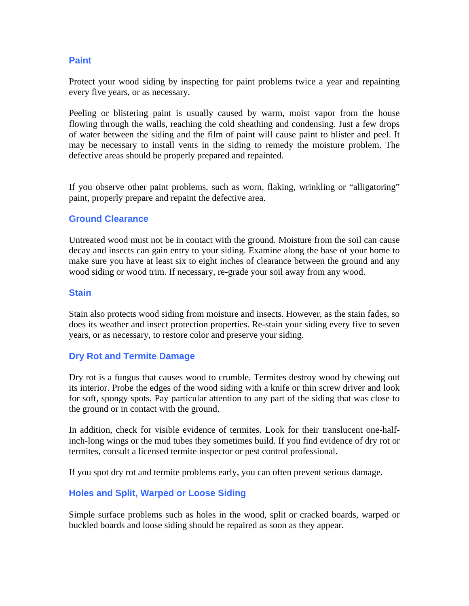### **Paint**

Protect your wood siding by inspecting for paint problems twice a year and repainting every five years, or as necessary.

Peeling or blistering paint is usually caused by warm, moist vapor from the house flowing through the walls, reaching the cold sheathing and condensing. Just a few drops of water between the siding and the film of paint will cause paint to blister and peel. It may be necessary to install vents in the siding to remedy the moisture problem. The defective areas should be properly prepared and repainted.

If you observe other paint problems, such as worn, flaking, wrinkling or "alligatoring" paint, properly prepare and repaint the defective area.

#### **Ground Clearance**

Untreated wood must not be in contact with the ground. Moisture from the soil can cause decay and insects can gain entry to your siding. Examine along the base of your home to make sure you have at least six to eight inches of clearance between the ground and any wood siding or wood trim. If necessary, re-grade your soil away from any wood.

#### **Stain**

Stain also protects wood siding from moisture and insects. However, as the stain fades, so does its weather and insect protection properties. Re-stain your siding every five to seven years, or as necessary, to restore color and preserve your siding.

#### **Dry Rot and Termite Damage**

Dry rot is a fungus that causes wood to crumble. Termites destroy wood by chewing out its interior. Probe the edges of the wood siding with a knife or thin screw driver and look for soft, spongy spots. Pay particular attention to any part of the siding that was close to the ground or in contact with the ground.

In addition, check for visible evidence of termites. Look for their translucent one-halfinch-long wings or the mud tubes they sometimes build. If you find evidence of dry rot or termites, consult a licensed termite inspector or pest control professional.

If you spot dry rot and termite problems early, you can often prevent serious damage.

#### **Holes and Split, Warped or Loose Siding**

Simple surface problems such as holes in the wood, split or cracked boards, warped or buckled boards and loose siding should be repaired as soon as they appear.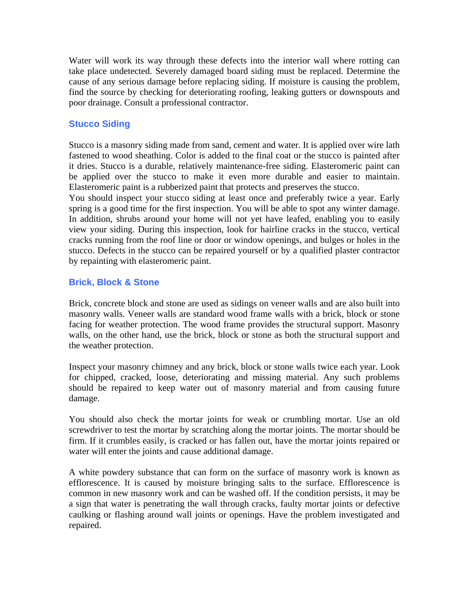Water will work its way through these defects into the interior wall where rotting can take place undetected. Severely damaged board siding must be replaced. Determine the cause of any serious damage before replacing siding. If moisture is causing the problem, find the source by checking for deteriorating roofing, leaking gutters or downspouts and poor drainage. Consult a professional contractor.

## **Stucco Siding**

Stucco is a masonry siding made from sand, cement and water. It is applied over wire lath fastened to wood sheathing. Color is added to the final coat or the stucco is painted after it dries. Stucco is a durable, relatively maintenance-free siding. Elasteromeric paint can be applied over the stucco to make it even more durable and easier to maintain. Elasteromeric paint is a rubberized paint that protects and preserves the stucco.

You should inspect your stucco siding at least once and preferably twice a year. Early spring is a good time for the first inspection. You will be able to spot any winter damage. In addition, shrubs around your home will not yet have leafed, enabling you to easily view your siding. During this inspection, look for hairline cracks in the stucco, vertical cracks running from the roof line or door or window openings, and bulges or holes in the stucco. Defects in the stucco can be repaired yourself or by a qualified plaster contractor by repainting with elasteromeric paint.

#### **Brick, Block & Stone**

Brick, concrete block and stone are used as sidings on veneer walls and are also built into masonry walls. Veneer walls are standard wood frame walls with a brick, block or stone facing for weather protection. The wood frame provides the structural support. Masonry walls, on the other hand, use the brick, block or stone as both the structural support and the weather protection.

Inspect your masonry chimney and any brick, block or stone walls twice each year. Look for chipped, cracked, loose, deteriorating and missing material. Any such problems should be repaired to keep water out of masonry material and from causing future damage.

You should also check the mortar joints for weak or crumbling mortar. Use an old screwdriver to test the mortar by scratching along the mortar joints. The mortar should be firm. If it crumbles easily, is cracked or has fallen out, have the mortar joints repaired or water will enter the joints and cause additional damage.

A white powdery substance that can form on the surface of masonry work is known as efflorescence. It is caused by moisture bringing salts to the surface. Efflorescence is common in new masonry work and can be washed off. If the condition persists, it may be a sign that water is penetrating the wall through cracks, faulty mortar joints or defective caulking or flashing around wall joints or openings. Have the problem investigated and repaired.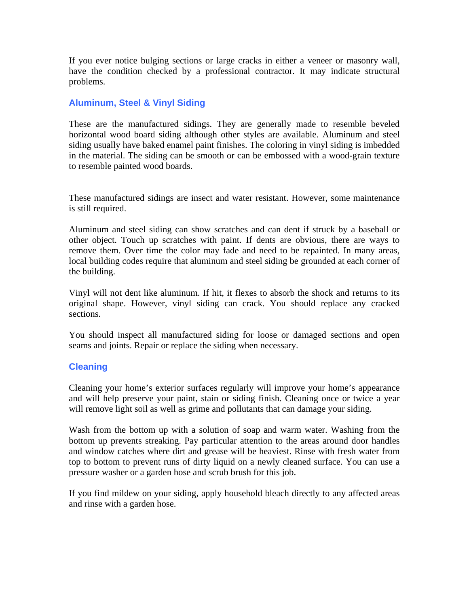If you ever notice bulging sections or large cracks in either a veneer or masonry wall, have the condition checked by a professional contractor. It may indicate structural problems.

## **Aluminum, Steel & Vinyl Siding**

These are the manufactured sidings. They are generally made to resemble beveled horizontal wood board siding although other styles are available. Aluminum and steel siding usually have baked enamel paint finishes. The coloring in vinyl siding is imbedded in the material. The siding can be smooth or can be embossed with a wood-grain texture to resemble painted wood boards.

These manufactured sidings are insect and water resistant. However, some maintenance is still required.

Aluminum and steel siding can show scratches and can dent if struck by a baseball or other object. Touch up scratches with paint. If dents are obvious, there are ways to remove them. Over time the color may fade and need to be repainted. In many areas, local building codes require that aluminum and steel siding be grounded at each corner of the building.

Vinyl will not dent like aluminum. If hit, it flexes to absorb the shock and returns to its original shape. However, vinyl siding can crack. You should replace any cracked sections.

You should inspect all manufactured siding for loose or damaged sections and open seams and joints. Repair or replace the siding when necessary.

## **Cleaning**

Cleaning your home's exterior surfaces regularly will improve your home's appearance and will help preserve your paint, stain or siding finish. Cleaning once or twice a year will remove light soil as well as grime and pollutants that can damage your siding.

Wash from the bottom up with a solution of soap and warm water. Washing from the bottom up prevents streaking. Pay particular attention to the areas around door handles and window catches where dirt and grease will be heaviest. Rinse with fresh water from top to bottom to prevent runs of dirty liquid on a newly cleaned surface. You can use a pressure washer or a garden hose and scrub brush for this job.

If you find mildew on your siding, apply household bleach directly to any affected areas and rinse with a garden hose.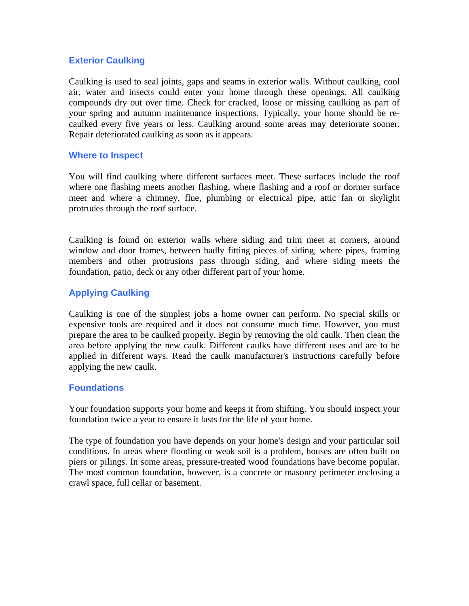## **Exterior Caulking**

Caulking is used to seal joints, gaps and seams in exterior walls. Without caulking, cool air, water and insects could enter your home through these openings. All caulking compounds dry out over time. Check for cracked, loose or missing caulking as part of your spring and autumn maintenance inspections. Typically, your home should be recaulked every five years or less. Caulking around some areas may deteriorate sooner. Repair deteriorated caulking as soon as it appears.

### **Where to Inspect**

You will find caulking where different surfaces meet. These surfaces include the roof where one flashing meets another flashing, where flashing and a roof or dormer surface meet and where a chimney, flue, plumbing or electrical pipe, attic fan or skylight protrudes through the roof surface.

Caulking is found on exterior walls where siding and trim meet at corners, around window and door frames, between badly fitting pieces of siding, where pipes, framing members and other protrusions pass through siding, and where siding meets the foundation, patio, deck or any other different part of your home.

## **Applying Caulking**

Caulking is one of the simplest jobs a home owner can perform. No special skills or expensive tools are required and it does not consume much time. However, you must prepare the area to be caulked properly. Begin by removing the old caulk. Then clean the area before applying the new caulk. Different caulks have different uses and are to be applied in different ways. Read the caulk manufacturer's instructions carefully before applying the new caulk.

## **Foundations**

Your foundation supports your home and keeps it from shifting. You should inspect your foundation twice a year to ensure it lasts for the life of your home.

The type of foundation you have depends on your home's design and your particular soil conditions. In areas where flooding or weak soil is a problem, houses are often built on piers or pilings. In some areas, pressure-treated wood foundations have become popular. The most common foundation, however, is a concrete or masonry perimeter enclosing a crawl space, full cellar or basement.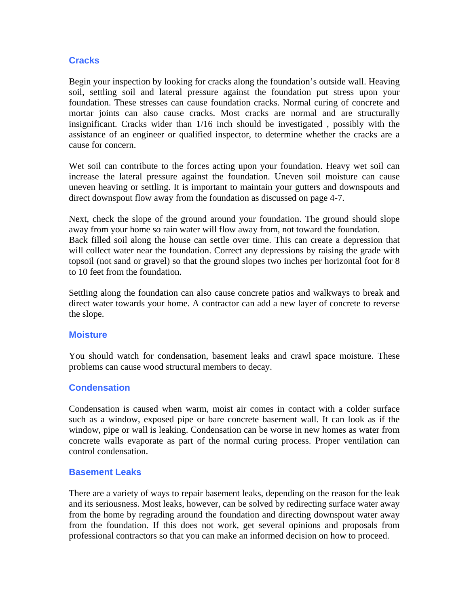## **Cracks**

Begin your inspection by looking for cracks along the foundation's outside wall. Heaving soil, settling soil and lateral pressure against the foundation put stress upon your foundation. These stresses can cause foundation cracks. Normal curing of concrete and mortar joints can also cause cracks. Most cracks are normal and are structurally insignificant. Cracks wider than 1/16 inch should be investigated , possibly with the assistance of an engineer or qualified inspector, to determine whether the cracks are a cause for concern.

Wet soil can contribute to the forces acting upon your foundation. Heavy wet soil can increase the lateral pressure against the foundation. Uneven soil moisture can cause uneven heaving or settling. It is important to maintain your gutters and downspouts and direct downspout flow away from the foundation as discussed on page 4-7.

Next, check the slope of the ground around your foundation. The ground should slope away from your home so rain water will flow away from, not toward the foundation. Back filled soil along the house can settle over time. This can create a depression that will collect water near the foundation. Correct any depressions by raising the grade with topsoil (not sand or gravel) so that the ground slopes two inches per horizontal foot for 8 to 10 feet from the foundation.

Settling along the foundation can also cause concrete patios and walkways to break and direct water towards your home. A contractor can add a new layer of concrete to reverse the slope.

#### **Moisture**

You should watch for condensation, basement leaks and crawl space moisture. These problems can cause wood structural members to decay.

#### **Condensation**

Condensation is caused when warm, moist air comes in contact with a colder surface such as a window, exposed pipe or bare concrete basement wall. It can look as if the window, pipe or wall is leaking. Condensation can be worse in new homes as water from concrete walls evaporate as part of the normal curing process. Proper ventilation can control condensation.

#### **Basement Leaks**

There are a variety of ways to repair basement leaks, depending on the reason for the leak and its seriousness. Most leaks, however, can be solved by redirecting surface water away from the home by regrading around the foundation and directing downspout water away from the foundation. If this does not work, get several opinions and proposals from professional contractors so that you can make an informed decision on how to proceed.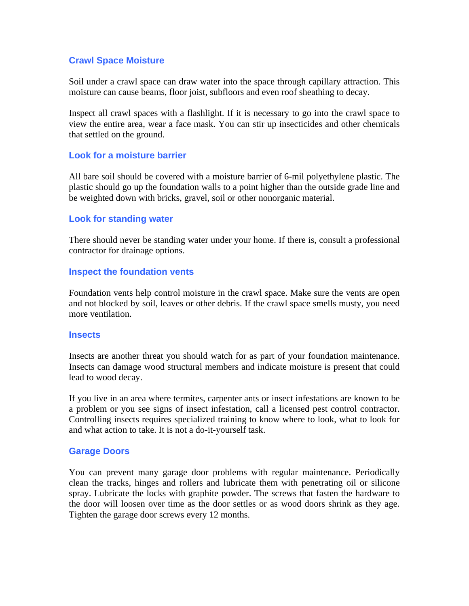#### **Crawl Space Moisture**

Soil under a crawl space can draw water into the space through capillary attraction. This moisture can cause beams, floor joist, subfloors and even roof sheathing to decay.

Inspect all crawl spaces with a flashlight. If it is necessary to go into the crawl space to view the entire area, wear a face mask. You can stir up insecticides and other chemicals that settled on the ground.

#### **Look for a moisture barrier**

All bare soil should be covered with a moisture barrier of 6-mil polyethylene plastic. The plastic should go up the foundation walls to a point higher than the outside grade line and be weighted down with bricks, gravel, soil or other nonorganic material.

#### **Look for standing water**

There should never be standing water under your home. If there is, consult a professional contractor for drainage options.

#### **Inspect the foundation vents**

Foundation vents help control moisture in the crawl space. Make sure the vents are open and not blocked by soil, leaves or other debris. If the crawl space smells musty, you need more ventilation.

#### **Insects**

Insects are another threat you should watch for as part of your foundation maintenance. Insects can damage wood structural members and indicate moisture is present that could lead to wood decay.

If you live in an area where termites, carpenter ants or insect infestations are known to be a problem or you see signs of insect infestation, call a licensed pest control contractor. Controlling insects requires specialized training to know where to look, what to look for and what action to take. It is not a do-it-yourself task.

#### **Garage Doors**

You can prevent many garage door problems with regular maintenance. Periodically clean the tracks, hinges and rollers and lubricate them with penetrating oil or silicone spray. Lubricate the locks with graphite powder. The screws that fasten the hardware to the door will loosen over time as the door settles or as wood doors shrink as they age. Tighten the garage door screws every 12 months.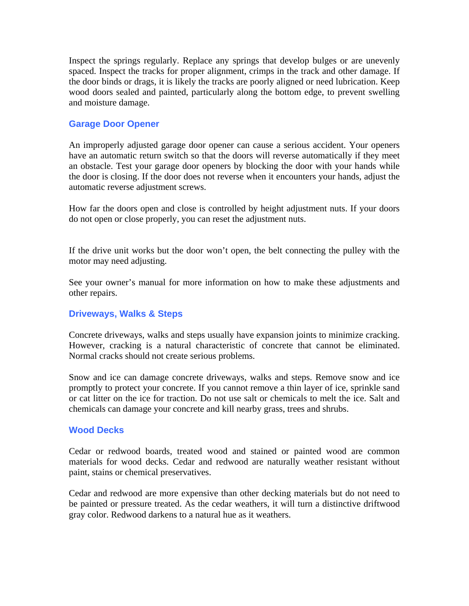Inspect the springs regularly. Replace any springs that develop bulges or are unevenly spaced. Inspect the tracks for proper alignment, crimps in the track and other damage. If the door binds or drags, it is likely the tracks are poorly aligned or need lubrication. Keep wood doors sealed and painted, particularly along the bottom edge, to prevent swelling and moisture damage.

#### **Garage Door Opener**

An improperly adjusted garage door opener can cause a serious accident. Your openers have an automatic return switch so that the doors will reverse automatically if they meet an obstacle. Test your garage door openers by blocking the door with your hands while the door is closing. If the door does not reverse when it encounters your hands, adjust the automatic reverse adjustment screws.

How far the doors open and close is controlled by height adjustment nuts. If your doors do not open or close properly, you can reset the adjustment nuts.

If the drive unit works but the door won't open, the belt connecting the pulley with the motor may need adjusting.

See your owner's manual for more information on how to make these adjustments and other repairs.

#### **Driveways, Walks & Steps**

Concrete driveways, walks and steps usually have expansion joints to minimize cracking. However, cracking is a natural characteristic of concrete that cannot be eliminated. Normal cracks should not create serious problems.

Snow and ice can damage concrete driveways, walks and steps. Remove snow and ice promptly to protect your concrete. If you cannot remove a thin layer of ice, sprinkle sand or cat litter on the ice for traction. Do not use salt or chemicals to melt the ice. Salt and chemicals can damage your concrete and kill nearby grass, trees and shrubs.

#### **Wood Decks**

Cedar or redwood boards, treated wood and stained or painted wood are common materials for wood decks. Cedar and redwood are naturally weather resistant without paint, stains or chemical preservatives.

Cedar and redwood are more expensive than other decking materials but do not need to be painted or pressure treated. As the cedar weathers, it will turn a distinctive driftwood gray color. Redwood darkens to a natural hue as it weathers.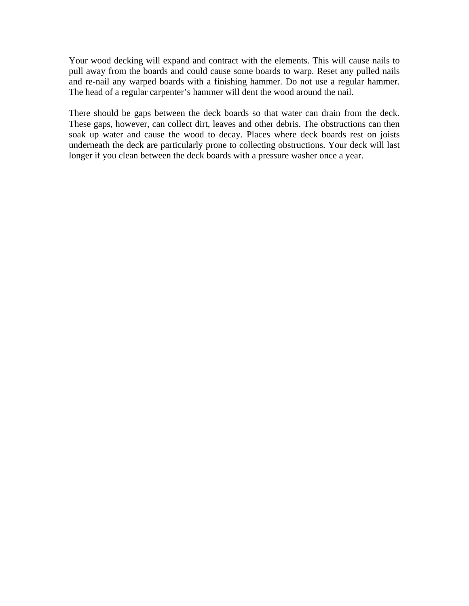Your wood decking will expand and contract with the elements. This will cause nails to pull away from the boards and could cause some boards to warp. Reset any pulled nails and re-nail any warped boards with a finishing hammer. Do not use a regular hammer. The head of a regular carpenter's hammer will dent the wood around the nail.

There should be gaps between the deck boards so that water can drain from the deck. These gaps, however, can collect dirt, leaves and other debris. The obstructions can then soak up water and cause the wood to decay. Places where deck boards rest on joists underneath the deck are particularly prone to collecting obstructions. Your deck will last longer if you clean between the deck boards with a pressure washer once a year.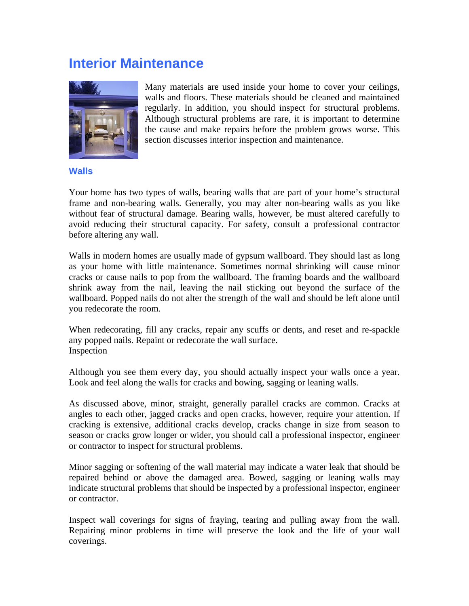## **Interior Maintenance**



Many materials are used inside your home to cover your ceilings, walls and floors. These materials should be cleaned and maintained regularly. In addition, you should inspect for structural problems. Although structural problems are rare, it is important to determine the cause and make repairs before the problem grows worse. This section discusses interior inspection and maintenance.

#### **Walls**

Your home has two types of walls, bearing walls that are part of your home's structural frame and non-bearing walls. Generally, you may alter non-bearing walls as you like without fear of structural damage. Bearing walls, however, be must altered carefully to avoid reducing their structural capacity. For safety, consult a professional contractor before altering any wall.

Walls in modern homes are usually made of gypsum wallboard. They should last as long as your home with little maintenance. Sometimes normal shrinking will cause minor cracks or cause nails to pop from the wallboard. The framing boards and the wallboard shrink away from the nail, leaving the nail sticking out beyond the surface of the wallboard. Popped nails do not alter the strength of the wall and should be left alone until you redecorate the room.

When redecorating, fill any cracks, repair any scuffs or dents, and reset and re-spackle any popped nails. Repaint or redecorate the wall surface. Inspection

Although you see them every day, you should actually inspect your walls once a year. Look and feel along the walls for cracks and bowing, sagging or leaning walls.

As discussed above, minor, straight, generally parallel cracks are common. Cracks at angles to each other, jagged cracks and open cracks, however, require your attention. If cracking is extensive, additional cracks develop, cracks change in size from season to season or cracks grow longer or wider, you should call a professional inspector, engineer or contractor to inspect for structural problems.

Minor sagging or softening of the wall material may indicate a water leak that should be repaired behind or above the damaged area. Bowed, sagging or leaning walls may indicate structural problems that should be inspected by a professional inspector, engineer or contractor.

Inspect wall coverings for signs of fraying, tearing and pulling away from the wall. Repairing minor problems in time will preserve the look and the life of your wall coverings.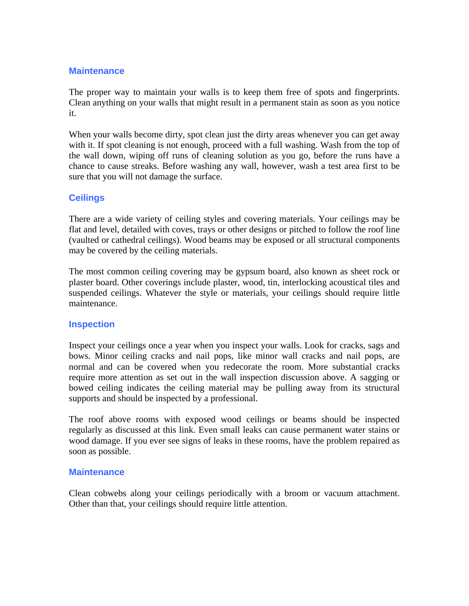## **Maintenance**

The proper way to maintain your walls is to keep them free of spots and fingerprints. Clean anything on your walls that might result in a permanent stain as soon as you notice it.

When your walls become dirty, spot clean just the dirty areas whenever you can get away with it. If spot cleaning is not enough, proceed with a full washing. Wash from the top of the wall down, wiping off runs of cleaning solution as you go, before the runs have a chance to cause streaks. Before washing any wall, however, wash a test area first to be sure that you will not damage the surface.

## **Ceilings**

There are a wide variety of ceiling styles and covering materials. Your ceilings may be flat and level, detailed with coves, trays or other designs or pitched to follow the roof line (vaulted or cathedral ceilings). Wood beams may be exposed or all structural components may be covered by the ceiling materials.

The most common ceiling covering may be gypsum board, also known as sheet rock or plaster board. Other coverings include plaster, wood, tin, interlocking acoustical tiles and suspended ceilings. Whatever the style or materials, your ceilings should require little maintenance.

## **Inspection**

Inspect your ceilings once a year when you inspect your walls. Look for cracks, sags and bows. Minor ceiling cracks and nail pops, like minor wall cracks and nail pops, are normal and can be covered when you redecorate the room. More substantial cracks require more attention as set out in the wall inspection discussion above. A sagging or bowed ceiling indicates the ceiling material may be pulling away from its structural supports and should be inspected by a professional.

The roof above rooms with exposed wood ceilings or beams should be inspected regularly as discussed at this link. Even small leaks can cause permanent water stains or wood damage. If you ever see signs of leaks in these rooms, have the problem repaired as soon as possible.

#### **Maintenance**

Clean cobwebs along your ceilings periodically with a broom or vacuum attachment. Other than that, your ceilings should require little attention.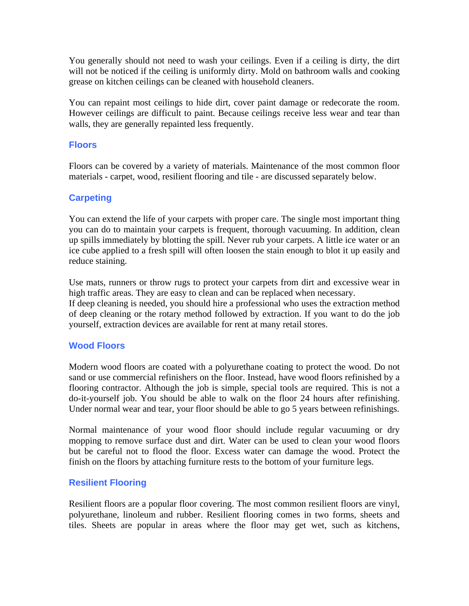You generally should not need to wash your ceilings. Even if a ceiling is dirty, the dirt will not be noticed if the ceiling is uniformly dirty. Mold on bathroom walls and cooking grease on kitchen ceilings can be cleaned with household cleaners.

You can repaint most ceilings to hide dirt, cover paint damage or redecorate the room. However ceilings are difficult to paint. Because ceilings receive less wear and tear than walls, they are generally repainted less frequently.

#### **Floors**

Floors can be covered by a variety of materials. Maintenance of the most common floor materials - carpet, wood, resilient flooring and tile - are discussed separately below.

## **Carpeting**

You can extend the life of your carpets with proper care. The single most important thing you can do to maintain your carpets is frequent, thorough vacuuming. In addition, clean up spills immediately by blotting the spill. Never rub your carpets. A little ice water or an ice cube applied to a fresh spill will often loosen the stain enough to blot it up easily and reduce staining.

Use mats, runners or throw rugs to protect your carpets from dirt and excessive wear in high traffic areas. They are easy to clean and can be replaced when necessary.

If deep cleaning is needed, you should hire a professional who uses the extraction method of deep cleaning or the rotary method followed by extraction. If you want to do the job yourself, extraction devices are available for rent at many retail stores.

## **Wood Floors**

Modern wood floors are coated with a polyurethane coating to protect the wood. Do not sand or use commercial refinishers on the floor. Instead, have wood floors refinished by a flooring contractor. Although the job is simple, special tools are required. This is not a do-it-yourself job. You should be able to walk on the floor 24 hours after refinishing. Under normal wear and tear, your floor should be able to go 5 years between refinishings.

Normal maintenance of your wood floor should include regular vacuuming or dry mopping to remove surface dust and dirt. Water can be used to clean your wood floors but be careful not to flood the floor. Excess water can damage the wood. Protect the finish on the floors by attaching furniture rests to the bottom of your furniture legs.

## **Resilient Flooring**

Resilient floors are a popular floor covering. The most common resilient floors are vinyl, polyurethane, linoleum and rubber. Resilient flooring comes in two forms, sheets and tiles. Sheets are popular in areas where the floor may get wet, such as kitchens,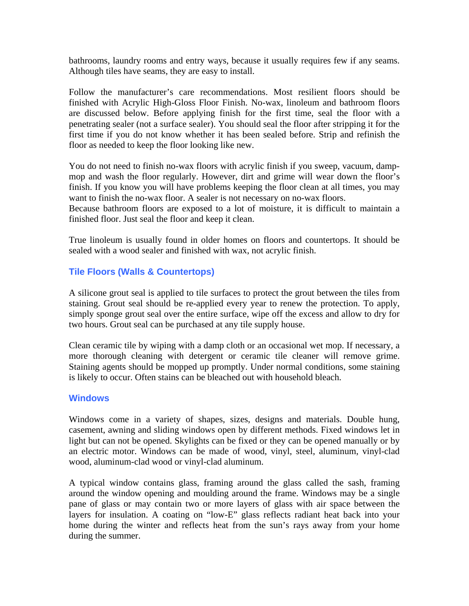bathrooms, laundry rooms and entry ways, because it usually requires few if any seams. Although tiles have seams, they are easy to install.

Follow the manufacturer's care recommendations. Most resilient floors should be finished with Acrylic High-Gloss Floor Finish. No-wax, linoleum and bathroom floors are discussed below. Before applying finish for the first time, seal the floor with a penetrating sealer (not a surface sealer). You should seal the floor after stripping it for the first time if you do not know whether it has been sealed before. Strip and refinish the floor as needed to keep the floor looking like new.

You do not need to finish no-wax floors with acrylic finish if you sweep, vacuum, dampmop and wash the floor regularly. However, dirt and grime will wear down the floor's finish. If you know you will have problems keeping the floor clean at all times, you may want to finish the no-wax floor. A sealer is not necessary on no-wax floors.

Because bathroom floors are exposed to a lot of moisture, it is difficult to maintain a finished floor. Just seal the floor and keep it clean.

True linoleum is usually found in older homes on floors and countertops. It should be sealed with a wood sealer and finished with wax, not acrylic finish.

## **Tile Floors (Walls & Countertops)**

A silicone grout seal is applied to tile surfaces to protect the grout between the tiles from staining. Grout seal should be re-applied every year to renew the protection. To apply, simply sponge grout seal over the entire surface, wipe off the excess and allow to dry for two hours. Grout seal can be purchased at any tile supply house.

Clean ceramic tile by wiping with a damp cloth or an occasional wet mop. If necessary, a more thorough cleaning with detergent or ceramic tile cleaner will remove grime. Staining agents should be mopped up promptly. Under normal conditions, some staining is likely to occur. Often stains can be bleached out with household bleach.

#### **Windows**

Windows come in a variety of shapes, sizes, designs and materials. Double hung, casement, awning and sliding windows open by different methods. Fixed windows let in light but can not be opened. Skylights can be fixed or they can be opened manually or by an electric motor. Windows can be made of wood, vinyl, steel, aluminum, vinyl-clad wood, aluminum-clad wood or vinyl-clad aluminum.

A typical window contains glass, framing around the glass called the sash, framing around the window opening and moulding around the frame. Windows may be a single pane of glass or may contain two or more layers of glass with air space between the layers for insulation. A coating on "low-E" glass reflects radiant heat back into your home during the winter and reflects heat from the sun's rays away from your home during the summer.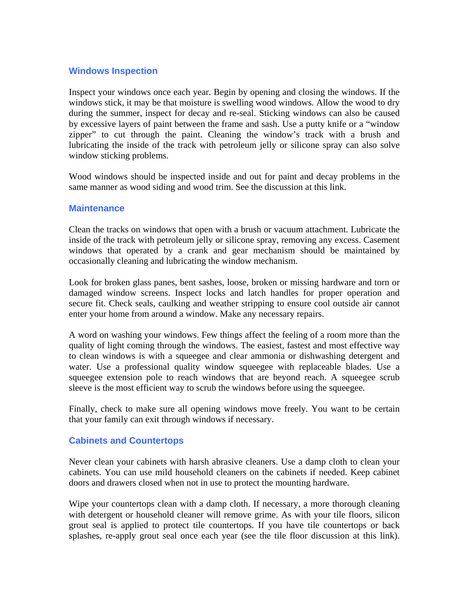## **Windows Inspection**

Inspect your windows once each year. Begin by opening and closing the windows. If the windows stick, it may be that moisture is swelling wood windows. Allow the wood to dry during the summer, inspect for decay and re-seal. Sticking windows can also be caused by excessive layers of paint between the frame and sash. Use a putty knife or a "window zipper" to cut through the paint. Cleaning the window's track with a brush and lubricating the inside of the track with petroleum jelly or silicone spray can also solve window sticking problems.

Wood windows should be inspected inside and out for paint and decay problems in the same manner as wood siding and wood trim. See the discussion at this link.

#### **Maintenance**

Clean the tracks on windows that open with a brush or vacuum attachment. Lubricate the inside of the track with petroleum jelly or silicone spray, removing any excess. Casement windows that operated by a crank and gear mechanism should be maintained by occasionally cleaning and lubricating the window mechanism.

Look for broken glass panes, bent sashes, loose, broken or missing hardware and torn or damaged window screens. Inspect locks and latch handles for proper operation and secure fit. Check seals, caulking and weather stripping to ensure cool outside air cannot enter your home from around a window. Make any necessary repairs.

A word on washing your windows. Few things affect the feeling of a room more than the quality of light coming through the windows. The easiest, fastest and most effective way to clean windows is with a squeegee and clear ammonia or dishwashing detergent and water. Use a professional quality window squeegee with replaceable blades. Use a squeegee extension pole to reach windows that are beyond reach. A squeegee scrub sleeve is the most efficient way to scrub the windows before using the squeegee.

Finally, check to make sure all opening windows move freely. You want to be certain that your family can exit through windows if necessary.

## **Cabinets and Countertops**

Never clean your cabinets with harsh abrasive cleaners. Use a damp cloth to clean your cabinets. You can use mild household cleaners on the cabinets if needed. Keep cabinet doors and drawers closed when not in use to protect the mounting hardware.

Wipe your countertops clean with a damp cloth. If necessary, a more thorough cleaning with detergent or household cleaner will remove grime. As with your tile floors, silicon grout seal is applied to protect tile countertops. If you have tile countertops or back splashes, re-apply grout seal once each year (see the tile floor discussion at this link).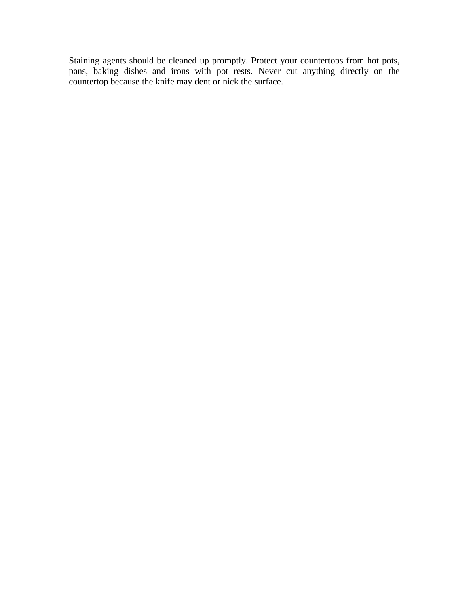Staining agents should be cleaned up promptly. Protect your countertops from hot pots, pans, baking dishes and irons with pot rests. Never cut anything directly on the countertop because the knife may dent or nick the surface.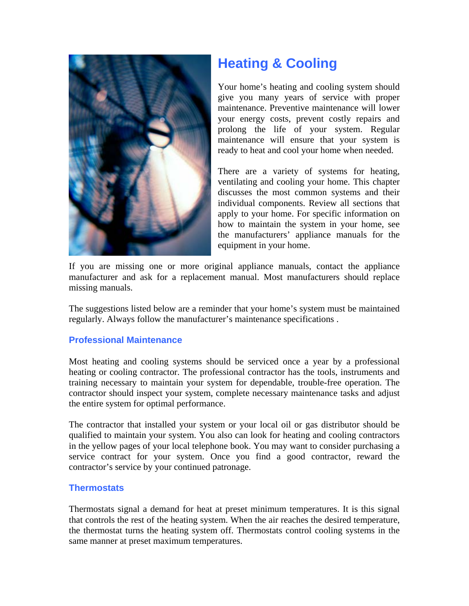

## **Heating & Cooling**

Your home's heating and cooling system should give you many years of service with proper maintenance. Preventive maintenance will lower your energy costs, prevent costly repairs and prolong the life of your system. Regular maintenance will ensure that your system is ready to heat and cool your home when needed.

There are a variety of systems for heating, ventilating and cooling your home. This chapter discusses the most common systems and their individual components. Review all sections that apply to your home. For specific information on how to maintain the system in your home, see the manufacturers' appliance manuals for the equipment in your home.

If you are missing one or more original appliance manuals, contact the appliance manufacturer and ask for a replacement manual. Most manufacturers should replace missing manuals.

The suggestions listed below are a reminder that your home's system must be maintained regularly. Always follow the manufacturer's maintenance specifications .

## **Professional Maintenance**

Most heating and cooling systems should be serviced once a year by a professional heating or cooling contractor. The professional contractor has the tools, instruments and training necessary to maintain your system for dependable, trouble-free operation. The contractor should inspect your system, complete necessary maintenance tasks and adjust the entire system for optimal performance.

The contractor that installed your system or your local oil or gas distributor should be qualified to maintain your system. You also can look for heating and cooling contractors in the yellow pages of your local telephone book. You may want to consider purchasing a service contract for your system. Once you find a good contractor, reward the contractor's service by your continued patronage.

## **Thermostats**

Thermostats signal a demand for heat at preset minimum temperatures. It is this signal that controls the rest of the heating system. When the air reaches the desired temperature, the thermostat turns the heating system off. Thermostats control cooling systems in the same manner at preset maximum temperatures.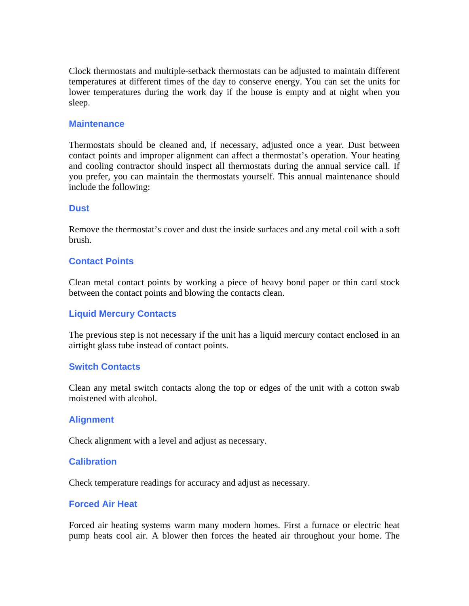Clock thermostats and multiple-setback thermostats can be adjusted to maintain different temperatures at different times of the day to conserve energy. You can set the units for lower temperatures during the work day if the house is empty and at night when you sleep.

#### **Maintenance**

Thermostats should be cleaned and, if necessary, adjusted once a year. Dust between contact points and improper alignment can affect a thermostat's operation. Your heating and cooling contractor should inspect all thermostats during the annual service call. If you prefer, you can maintain the thermostats yourself. This annual maintenance should include the following:

#### **Dust**

Remove the thermostat's cover and dust the inside surfaces and any metal coil with a soft brush.

#### **Contact Points**

Clean metal contact points by working a piece of heavy bond paper or thin card stock between the contact points and blowing the contacts clean.

#### **Liquid Mercury Contacts**

The previous step is not necessary if the unit has a liquid mercury contact enclosed in an airtight glass tube instead of contact points.

#### **Switch Contacts**

Clean any metal switch contacts along the top or edges of the unit with a cotton swab moistened with alcohol.

#### **Alignment**

Check alignment with a level and adjust as necessary.

#### **Calibration**

Check temperature readings for accuracy and adjust as necessary.

#### **Forced Air Heat**

Forced air heating systems warm many modern homes. First a furnace or electric heat pump heats cool air. A blower then forces the heated air throughout your home. The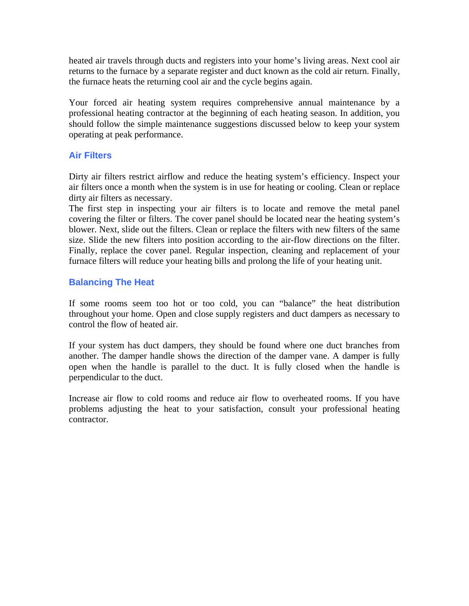heated air travels through ducts and registers into your home's living areas. Next cool air returns to the furnace by a separate register and duct known as the cold air return. Finally, the furnace heats the returning cool air and the cycle begins again.

Your forced air heating system requires comprehensive annual maintenance by a professional heating contractor at the beginning of each heating season. In addition, you should follow the simple maintenance suggestions discussed below to keep your system operating at peak performance.

## **Air Filters**

Dirty air filters restrict airflow and reduce the heating system's efficiency. Inspect your air filters once a month when the system is in use for heating or cooling. Clean or replace dirty air filters as necessary.

The first step in inspecting your air filters is to locate and remove the metal panel covering the filter or filters. The cover panel should be located near the heating system's blower. Next, slide out the filters. Clean or replace the filters with new filters of the same size. Slide the new filters into position according to the air-flow directions on the filter. Finally, replace the cover panel. Regular inspection, cleaning and replacement of your furnace filters will reduce your heating bills and prolong the life of your heating unit.

## **Balancing The Heat**

If some rooms seem too hot or too cold, you can "balance" the heat distribution throughout your home. Open and close supply registers and duct dampers as necessary to control the flow of heated air.

If your system has duct dampers, they should be found where one duct branches from another. The damper handle shows the direction of the damper vane. A damper is fully open when the handle is parallel to the duct. It is fully closed when the handle is perpendicular to the duct.

Increase air flow to cold rooms and reduce air flow to overheated rooms. If you have problems adjusting the heat to your satisfaction, consult your professional heating contractor.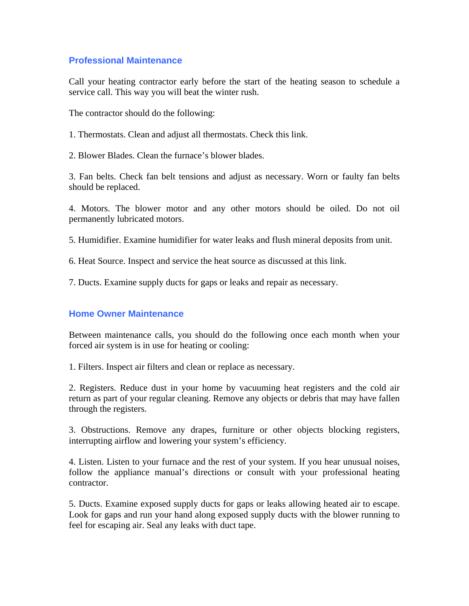## **Professional Maintenance**

Call your heating contractor early before the start of the heating season to schedule a service call. This way you will beat the winter rush.

The contractor should do the following:

1. Thermostats. Clean and adjust all thermostats. Check this link.

2. Blower Blades. Clean the furnace's blower blades.

3. Fan belts. Check fan belt tensions and adjust as necessary. Worn or faulty fan belts should be replaced.

4. Motors. The blower motor and any other motors should be oiled. Do not oil permanently lubricated motors.

5. Humidifier. Examine humidifier for water leaks and flush mineral deposits from unit.

6. Heat Source. Inspect and service the heat source as discussed at this link.

7. Ducts. Examine supply ducts for gaps or leaks and repair as necessary.

#### **Home Owner Maintenance**

Between maintenance calls, you should do the following once each month when your forced air system is in use for heating or cooling:

1. Filters. Inspect air filters and clean or replace as necessary.

2. Registers. Reduce dust in your home by vacuuming heat registers and the cold air return as part of your regular cleaning. Remove any objects or debris that may have fallen through the registers.

3. Obstructions. Remove any drapes, furniture or other objects blocking registers, interrupting airflow and lowering your system's efficiency.

4. Listen. Listen to your furnace and the rest of your system. If you hear unusual noises, follow the appliance manual's directions or consult with your professional heating contractor.

5. Ducts. Examine exposed supply ducts for gaps or leaks allowing heated air to escape. Look for gaps and run your hand along exposed supply ducts with the blower running to feel for escaping air. Seal any leaks with duct tape.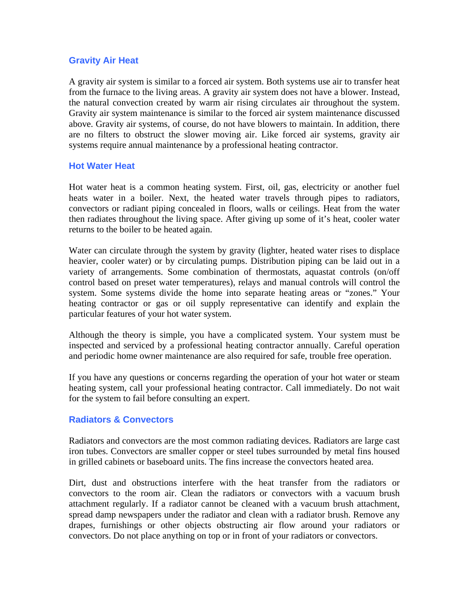#### **Gravity Air Heat**

A gravity air system is similar to a forced air system. Both systems use air to transfer heat from the furnace to the living areas. A gravity air system does not have a blower. Instead, the natural convection created by warm air rising circulates air throughout the system. Gravity air system maintenance is similar to the forced air system maintenance discussed above. Gravity air systems, of course, do not have blowers to maintain. In addition, there are no filters to obstruct the slower moving air. Like forced air systems, gravity air systems require annual maintenance by a professional heating contractor.

#### **Hot Water Heat**

Hot water heat is a common heating system. First, oil, gas, electricity or another fuel heats water in a boiler. Next, the heated water travels through pipes to radiators, convectors or radiant piping concealed in floors, walls or ceilings. Heat from the water then radiates throughout the living space. After giving up some of it's heat, cooler water returns to the boiler to be heated again.

Water can circulate through the system by gravity (lighter, heated water rises to displace heavier, cooler water) or by circulating pumps. Distribution piping can be laid out in a variety of arrangements. Some combination of thermostats, aquastat controls (on/off control based on preset water temperatures), relays and manual controls will control the system. Some systems divide the home into separate heating areas or "zones." Your heating contractor or gas or oil supply representative can identify and explain the particular features of your hot water system.

Although the theory is simple, you have a complicated system. Your system must be inspected and serviced by a professional heating contractor annually. Careful operation and periodic home owner maintenance are also required for safe, trouble free operation.

If you have any questions or concerns regarding the operation of your hot water or steam heating system, call your professional heating contractor. Call immediately. Do not wait for the system to fail before consulting an expert.

## **Radiators & Convectors**

Radiators and convectors are the most common radiating devices. Radiators are large cast iron tubes. Convectors are smaller copper or steel tubes surrounded by metal fins housed in grilled cabinets or baseboard units. The fins increase the convectors heated area.

Dirt, dust and obstructions interfere with the heat transfer from the radiators or convectors to the room air. Clean the radiators or convectors with a vacuum brush attachment regularly. If a radiator cannot be cleaned with a vacuum brush attachment, spread damp newspapers under the radiator and clean with a radiator brush. Remove any drapes, furnishings or other objects obstructing air flow around your radiators or convectors. Do not place anything on top or in front of your radiators or convectors.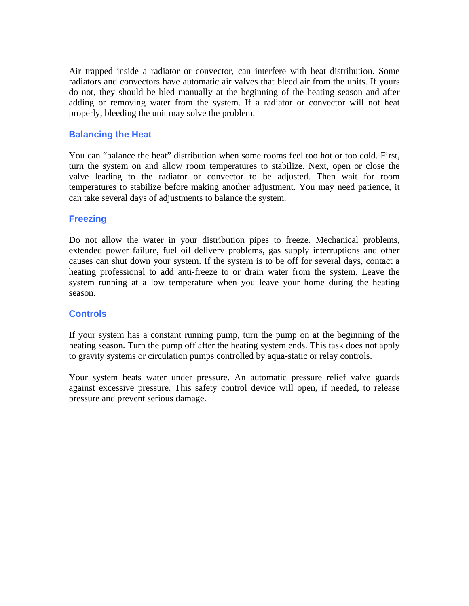Air trapped inside a radiator or convector, can interfere with heat distribution. Some radiators and convectors have automatic air valves that bleed air from the units. If yours do not, they should be bled manually at the beginning of the heating season and after adding or removing water from the system. If a radiator or convector will not heat properly, bleeding the unit may solve the problem.

## **Balancing the Heat**

You can "balance the heat" distribution when some rooms feel too hot or too cold. First, turn the system on and allow room temperatures to stabilize. Next, open or close the valve leading to the radiator or convector to be adjusted. Then wait for room temperatures to stabilize before making another adjustment. You may need patience, it can take several days of adjustments to balance the system.

#### **Freezing**

Do not allow the water in your distribution pipes to freeze. Mechanical problems, extended power failure, fuel oil delivery problems, gas supply interruptions and other causes can shut down your system. If the system is to be off for several days, contact a heating professional to add anti-freeze to or drain water from the system. Leave the system running at a low temperature when you leave your home during the heating season.

#### **Controls**

If your system has a constant running pump, turn the pump on at the beginning of the heating season. Turn the pump off after the heating system ends. This task does not apply to gravity systems or circulation pumps controlled by aqua-static or relay controls.

Your system heats water under pressure. An automatic pressure relief valve guards against excessive pressure. This safety control device will open, if needed, to release pressure and prevent serious damage.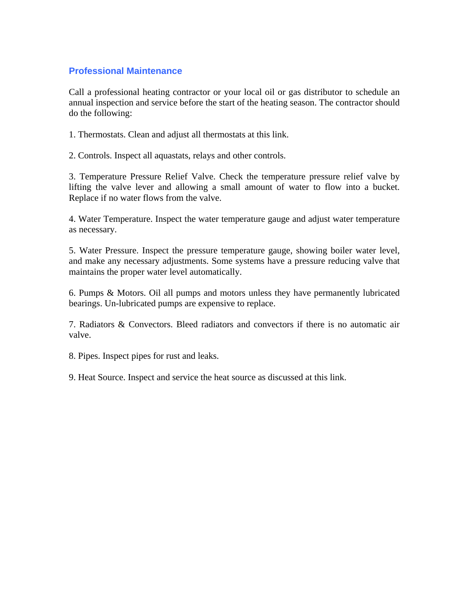## **Professional Maintenance**

Call a professional heating contractor or your local oil or gas distributor to schedule an annual inspection and service before the start of the heating season. The contractor should do the following:

1. Thermostats. Clean and adjust all thermostats at this link.

2. Controls. Inspect all aquastats, relays and other controls.

3. Temperature Pressure Relief Valve. Check the temperature pressure relief valve by lifting the valve lever and allowing a small amount of water to flow into a bucket. Replace if no water flows from the valve.

4. Water Temperature. Inspect the water temperature gauge and adjust water temperature as necessary.

5. Water Pressure. Inspect the pressure temperature gauge, showing boiler water level, and make any necessary adjustments. Some systems have a pressure reducing valve that maintains the proper water level automatically.

6. Pumps & Motors. Oil all pumps and motors unless they have permanently lubricated bearings. Un-lubricated pumps are expensive to replace.

7. Radiators & Convectors. Bleed radiators and convectors if there is no automatic air valve.

8. Pipes. Inspect pipes for rust and leaks.

9. Heat Source. Inspect and service the heat source as discussed at this link.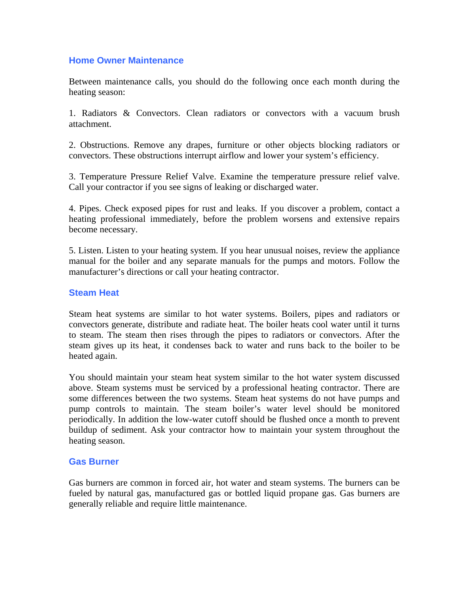### **Home Owner Maintenance**

Between maintenance calls, you should do the following once each month during the heating season:

1. Radiators & Convectors. Clean radiators or convectors with a vacuum brush attachment.

2. Obstructions. Remove any drapes, furniture or other objects blocking radiators or convectors. These obstructions interrupt airflow and lower your system's efficiency.

3. Temperature Pressure Relief Valve. Examine the temperature pressure relief valve. Call your contractor if you see signs of leaking or discharged water.

4. Pipes. Check exposed pipes for rust and leaks. If you discover a problem, contact a heating professional immediately, before the problem worsens and extensive repairs become necessary.

5. Listen. Listen to your heating system. If you hear unusual noises, review the appliance manual for the boiler and any separate manuals for the pumps and motors. Follow the manufacturer's directions or call your heating contractor.

#### **Steam Heat**

Steam heat systems are similar to hot water systems. Boilers, pipes and radiators or convectors generate, distribute and radiate heat. The boiler heats cool water until it turns to steam. The steam then rises through the pipes to radiators or convectors. After the steam gives up its heat, it condenses back to water and runs back to the boiler to be heated again.

You should maintain your steam heat system similar to the hot water system discussed above. Steam systems must be serviced by a professional heating contractor. There are some differences between the two systems. Steam heat systems do not have pumps and pump controls to maintain. The steam boiler's water level should be monitored periodically. In addition the low-water cutoff should be flushed once a month to prevent buildup of sediment. Ask your contractor how to maintain your system throughout the heating season.

#### **Gas Burner**

Gas burners are common in forced air, hot water and steam systems. The burners can be fueled by natural gas, manufactured gas or bottled liquid propane gas. Gas burners are generally reliable and require little maintenance.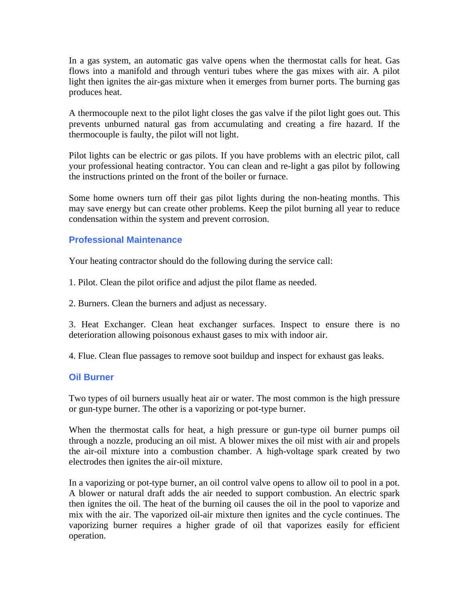In a gas system, an automatic gas valve opens when the thermostat calls for heat. Gas flows into a manifold and through venturi tubes where the gas mixes with air. A pilot light then ignites the air-gas mixture when it emerges from burner ports. The burning gas produces heat.

A thermocouple next to the pilot light closes the gas valve if the pilot light goes out. This prevents unburned natural gas from accumulating and creating a fire hazard. If the thermocouple is faulty, the pilot will not light.

Pilot lights can be electric or gas pilots. If you have problems with an electric pilot, call your professional heating contractor. You can clean and re-light a gas pilot by following the instructions printed on the front of the boiler or furnace.

Some home owners turn off their gas pilot lights during the non-heating months. This may save energy but can create other problems. Keep the pilot burning all year to reduce condensation within the system and prevent corrosion.

## **Professional Maintenance**

Your heating contractor should do the following during the service call:

1. Pilot. Clean the pilot orifice and adjust the pilot flame as needed.

2. Burners. Clean the burners and adjust as necessary.

3. Heat Exchanger. Clean heat exchanger surfaces. Inspect to ensure there is no deterioration allowing poisonous exhaust gases to mix with indoor air.

4. Flue. Clean flue passages to remove soot buildup and inspect for exhaust gas leaks.

#### **Oil Burner**

Two types of oil burners usually heat air or water. The most common is the high pressure or gun-type burner. The other is a vaporizing or pot-type burner.

When the thermostat calls for heat, a high pressure or gun-type oil burner pumps oil through a nozzle, producing an oil mist. A blower mixes the oil mist with air and propels the air-oil mixture into a combustion chamber. A high-voltage spark created by two electrodes then ignites the air-oil mixture.

In a vaporizing or pot-type burner, an oil control valve opens to allow oil to pool in a pot. A blower or natural draft adds the air needed to support combustion. An electric spark then ignites the oil. The heat of the burning oil causes the oil in the pool to vaporize and mix with the air. The vaporized oil-air mixture then ignites and the cycle continues. The vaporizing burner requires a higher grade of oil that vaporizes easily for efficient operation.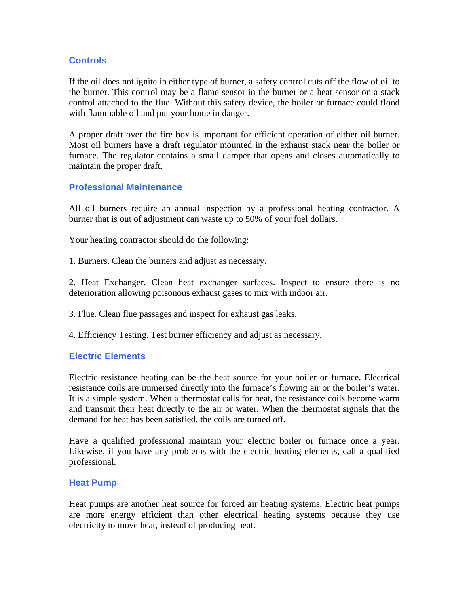## **Controls**

If the oil does not ignite in either type of burner, a safety control cuts off the flow of oil to the burner. This control may be a flame sensor in the burner or a heat sensor on a stack control attached to the flue. Without this safety device, the boiler or furnace could flood with flammable oil and put your home in danger.

A proper draft over the fire box is important for efficient operation of either oil burner. Most oil burners have a draft regulator mounted in the exhaust stack near the boiler or furnace. The regulator contains a small damper that opens and closes automatically to maintain the proper draft.

#### **Professional Maintenance**

All oil burners require an annual inspection by a professional heating contractor. A burner that is out of adjustment can waste up to 50% of your fuel dollars.

Your heating contractor should do the following:

1. Burners. Clean the burners and adjust as necessary.

2. Heat Exchanger. Clean heat exchanger surfaces. Inspect to ensure there is no deterioration allowing poisonous exhaust gases to mix with indoor air.

3. Flue. Clean flue passages and inspect for exhaust gas leaks.

4. Efficiency Testing. Test burner efficiency and adjust as necessary.

#### **Electric Elements**

Electric resistance heating can be the heat source for your boiler or furnace. Electrical resistance coils are immersed directly into the furnace's flowing air or the boiler's water. It is a simple system. When a thermostat calls for heat, the resistance coils become warm and transmit their heat directly to the air or water. When the thermostat signals that the demand for heat has been satisfied, the coils are turned off.

Have a qualified professional maintain your electric boiler or furnace once a year. Likewise, if you have any problems with the electric heating elements, call a qualified professional.

#### **Heat Pump**

Heat pumps are another heat source for forced air heating systems. Electric heat pumps are more energy efficient than other electrical heating systems because they use electricity to move heat, instead of producing heat.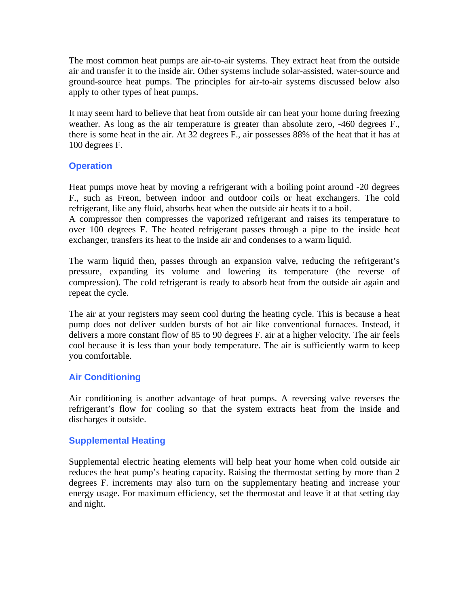The most common heat pumps are air-to-air systems. They extract heat from the outside air and transfer it to the inside air. Other systems include solar-assisted, water-source and ground-source heat pumps. The principles for air-to-air systems discussed below also apply to other types of heat pumps.

It may seem hard to believe that heat from outside air can heat your home during freezing weather. As long as the air temperature is greater than absolute zero, -460 degrees F., there is some heat in the air. At 32 degrees F., air possesses 88% of the heat that it has at 100 degrees F.

## **Operation**

Heat pumps move heat by moving a refrigerant with a boiling point around -20 degrees F., such as Freon, between indoor and outdoor coils or heat exchangers. The cold refrigerant, like any fluid, absorbs heat when the outside air heats it to a boil.

A compressor then compresses the vaporized refrigerant and raises its temperature to over 100 degrees F. The heated refrigerant passes through a pipe to the inside heat exchanger, transfers its heat to the inside air and condenses to a warm liquid.

The warm liquid then, passes through an expansion valve, reducing the refrigerant's pressure, expanding its volume and lowering its temperature (the reverse of compression). The cold refrigerant is ready to absorb heat from the outside air again and repeat the cycle.

The air at your registers may seem cool during the heating cycle. This is because a heat pump does not deliver sudden bursts of hot air like conventional furnaces. Instead, it delivers a more constant flow of 85 to 90 degrees F. air at a higher velocity. The air feels cool because it is less than your body temperature. The air is sufficiently warm to keep you comfortable.

## **Air Conditioning**

Air conditioning is another advantage of heat pumps. A reversing valve reverses the refrigerant's flow for cooling so that the system extracts heat from the inside and discharges it outside.

## **Supplemental Heating**

Supplemental electric heating elements will help heat your home when cold outside air reduces the heat pump's heating capacity. Raising the thermostat setting by more than 2 degrees F. increments may also turn on the supplementary heating and increase your energy usage. For maximum efficiency, set the thermostat and leave it at that setting day and night.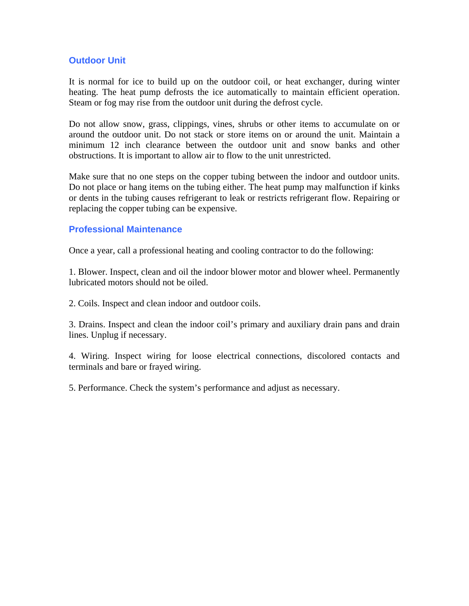## **Outdoor Unit**

It is normal for ice to build up on the outdoor coil, or heat exchanger, during winter heating. The heat pump defrosts the ice automatically to maintain efficient operation. Steam or fog may rise from the outdoor unit during the defrost cycle.

Do not allow snow, grass, clippings, vines, shrubs or other items to accumulate on or around the outdoor unit. Do not stack or store items on or around the unit. Maintain a minimum 12 inch clearance between the outdoor unit and snow banks and other obstructions. It is important to allow air to flow to the unit unrestricted.

Make sure that no one steps on the copper tubing between the indoor and outdoor units. Do not place or hang items on the tubing either. The heat pump may malfunction if kinks or dents in the tubing causes refrigerant to leak or restricts refrigerant flow. Repairing or replacing the copper tubing can be expensive.

#### **Professional Maintenance**

Once a year, call a professional heating and cooling contractor to do the following:

1. Blower. Inspect, clean and oil the indoor blower motor and blower wheel. Permanently lubricated motors should not be oiled.

2. Coils. Inspect and clean indoor and outdoor coils.

3. Drains. Inspect and clean the indoor coil's primary and auxiliary drain pans and drain lines. Unplug if necessary.

4. Wiring. Inspect wiring for loose electrical connections, discolored contacts and terminals and bare or frayed wiring.

5. Performance. Check the system's performance and adjust as necessary.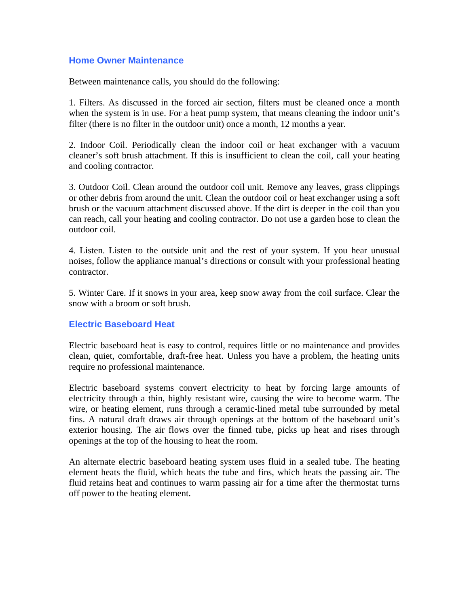#### **Home Owner Maintenance**

Between maintenance calls, you should do the following:

1. Filters. As discussed in the forced air section, filters must be cleaned once a month when the system is in use. For a heat pump system, that means cleaning the indoor unit's filter (there is no filter in the outdoor unit) once a month, 12 months a year.

2. Indoor Coil. Periodically clean the indoor coil or heat exchanger with a vacuum cleaner's soft brush attachment. If this is insufficient to clean the coil, call your heating and cooling contractor.

3. Outdoor Coil. Clean around the outdoor coil unit. Remove any leaves, grass clippings or other debris from around the unit. Clean the outdoor coil or heat exchanger using a soft brush or the vacuum attachment discussed above. If the dirt is deeper in the coil than you can reach, call your heating and cooling contractor. Do not use a garden hose to clean the outdoor coil.

4. Listen. Listen to the outside unit and the rest of your system. If you hear unusual noises, follow the appliance manual's directions or consult with your professional heating contractor.

5. Winter Care. If it snows in your area, keep snow away from the coil surface. Clear the snow with a broom or soft brush.

## **Electric Baseboard Heat**

Electric baseboard heat is easy to control, requires little or no maintenance and provides clean, quiet, comfortable, draft-free heat. Unless you have a problem, the heating units require no professional maintenance.

Electric baseboard systems convert electricity to heat by forcing large amounts of electricity through a thin, highly resistant wire, causing the wire to become warm. The wire, or heating element, runs through a ceramic-lined metal tube surrounded by metal fins. A natural draft draws air through openings at the bottom of the baseboard unit's exterior housing. The air flows over the finned tube, picks up heat and rises through openings at the top of the housing to heat the room.

An alternate electric baseboard heating system uses fluid in a sealed tube. The heating element heats the fluid, which heats the tube and fins, which heats the passing air. The fluid retains heat and continues to warm passing air for a time after the thermostat turns off power to the heating element.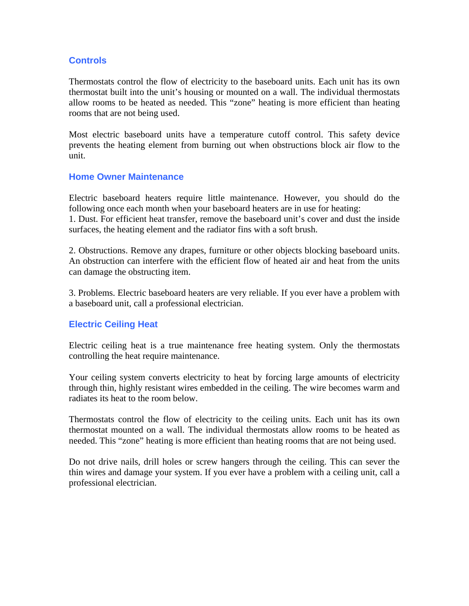## **Controls**

Thermostats control the flow of electricity to the baseboard units. Each unit has its own thermostat built into the unit's housing or mounted on a wall. The individual thermostats allow rooms to be heated as needed. This "zone" heating is more efficient than heating rooms that are not being used.

Most electric baseboard units have a temperature cutoff control. This safety device prevents the heating element from burning out when obstructions block air flow to the unit.

#### **Home Owner Maintenance**

Electric baseboard heaters require little maintenance. However, you should do the following once each month when your baseboard heaters are in use for heating:

1. Dust. For efficient heat transfer, remove the baseboard unit's cover and dust the inside surfaces, the heating element and the radiator fins with a soft brush.

2. Obstructions. Remove any drapes, furniture or other objects blocking baseboard units. An obstruction can interfere with the efficient flow of heated air and heat from the units can damage the obstructing item.

3. Problems. Electric baseboard heaters are very reliable. If you ever have a problem with a baseboard unit, call a professional electrician.

## **Electric Ceiling Heat**

Electric ceiling heat is a true maintenance free heating system. Only the thermostats controlling the heat require maintenance.

Your ceiling system converts electricity to heat by forcing large amounts of electricity through thin, highly resistant wires embedded in the ceiling. The wire becomes warm and radiates its heat to the room below.

Thermostats control the flow of electricity to the ceiling units. Each unit has its own thermostat mounted on a wall. The individual thermostats allow rooms to be heated as needed. This "zone" heating is more efficient than heating rooms that are not being used.

Do not drive nails, drill holes or screw hangers through the ceiling. This can sever the thin wires and damage your system. If you ever have a problem with a ceiling unit, call a professional electrician.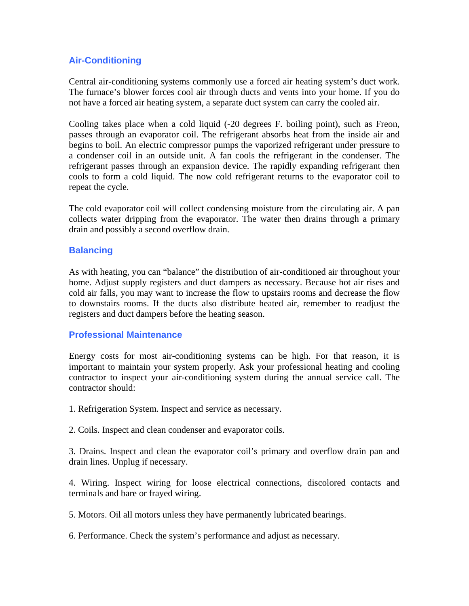## **Air-Conditioning**

Central air-conditioning systems commonly use a forced air heating system's duct work. The furnace's blower forces cool air through ducts and vents into your home. If you do not have a forced air heating system, a separate duct system can carry the cooled air.

Cooling takes place when a cold liquid (-20 degrees F. boiling point), such as Freon, passes through an evaporator coil. The refrigerant absorbs heat from the inside air and begins to boil. An electric compressor pumps the vaporized refrigerant under pressure to a condenser coil in an outside unit. A fan cools the refrigerant in the condenser. The refrigerant passes through an expansion device. The rapidly expanding refrigerant then cools to form a cold liquid. The now cold refrigerant returns to the evaporator coil to repeat the cycle.

The cold evaporator coil will collect condensing moisture from the circulating air. A pan collects water dripping from the evaporator. The water then drains through a primary drain and possibly a second overflow drain.

#### **Balancing**

As with heating, you can "balance" the distribution of air-conditioned air throughout your home. Adjust supply registers and duct dampers as necessary. Because hot air rises and cold air falls, you may want to increase the flow to upstairs rooms and decrease the flow to downstairs rooms. If the ducts also distribute heated air, remember to readjust the registers and duct dampers before the heating season.

#### **Professional Maintenance**

Energy costs for most air-conditioning systems can be high. For that reason, it is important to maintain your system properly. Ask your professional heating and cooling contractor to inspect your air-conditioning system during the annual service call. The contractor should:

1. Refrigeration System. Inspect and service as necessary.

2. Coils. Inspect and clean condenser and evaporator coils.

3. Drains. Inspect and clean the evaporator coil's primary and overflow drain pan and drain lines. Unplug if necessary.

4. Wiring. Inspect wiring for loose electrical connections, discolored contacts and terminals and bare or frayed wiring.

5. Motors. Oil all motors unless they have permanently lubricated bearings.

6. Performance. Check the system's performance and adjust as necessary.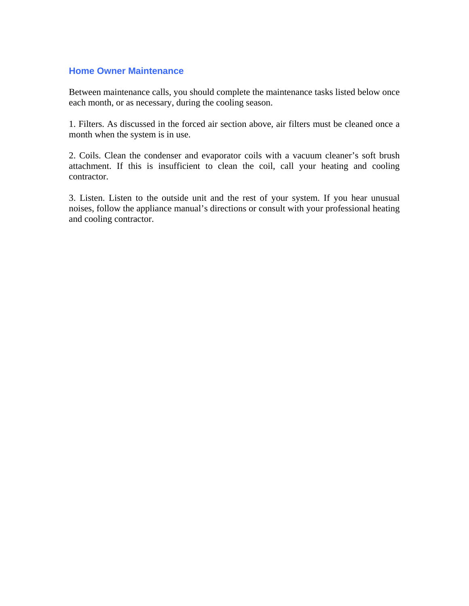## **Home Owner Maintenance**

Between maintenance calls, you should complete the maintenance tasks listed below once each month, or as necessary, during the cooling season.

1. Filters. As discussed in the forced air section above, air filters must be cleaned once a month when the system is in use.

2. Coils. Clean the condenser and evaporator coils with a vacuum cleaner's soft brush attachment. If this is insufficient to clean the coil, call your heating and cooling contractor.

3. Listen. Listen to the outside unit and the rest of your system. If you hear unusual noises, follow the appliance manual's directions or consult with your professional heating and cooling contractor.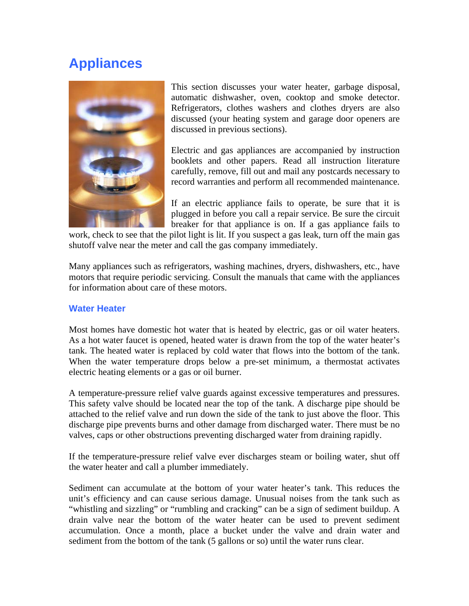## **Appliances**



This section discusses your water heater, garbage disposal, automatic dishwasher, oven, cooktop and smoke detector. Refrigerators, clothes washers and clothes dryers are also discussed (your heating system and garage door openers are discussed in previous sections).

Electric and gas appliances are accompanied by instruction booklets and other papers. Read all instruction literature carefully, remove, fill out and mail any postcards necessary to record warranties and perform all recommended maintenance.

If an electric appliance fails to operate, be sure that it is plugged in before you call a repair service. Be sure the circuit breaker for that appliance is on. If a gas appliance fails to

work, check to see that the pilot light is lit. If you suspect a gas leak, turn off the main gas shutoff valve near the meter and call the gas company immediately.

Many appliances such as refrigerators, washing machines, dryers, dishwashers, etc., have motors that require periodic servicing. Consult the manuals that came with the appliances for information about care of these motors.

## **Water Heater**

Most homes have domestic hot water that is heated by electric, gas or oil water heaters. As a hot water faucet is opened, heated water is drawn from the top of the water heater's tank. The heated water is replaced by cold water that flows into the bottom of the tank. When the water temperature drops below a pre-set minimum, a thermostat activates electric heating elements or a gas or oil burner.

A temperature-pressure relief valve guards against excessive temperatures and pressures. This safety valve should be located near the top of the tank. A discharge pipe should be attached to the relief valve and run down the side of the tank to just above the floor. This discharge pipe prevents burns and other damage from discharged water. There must be no valves, caps or other obstructions preventing discharged water from draining rapidly.

If the temperature-pressure relief valve ever discharges steam or boiling water, shut off the water heater and call a plumber immediately.

Sediment can accumulate at the bottom of your water heater's tank. This reduces the unit's efficiency and can cause serious damage. Unusual noises from the tank such as "whistling and sizzling" or "rumbling and cracking" can be a sign of sediment buildup. A drain valve near the bottom of the water heater can be used to prevent sediment accumulation. Once a month, place a bucket under the valve and drain water and sediment from the bottom of the tank (5 gallons or so) until the water runs clear.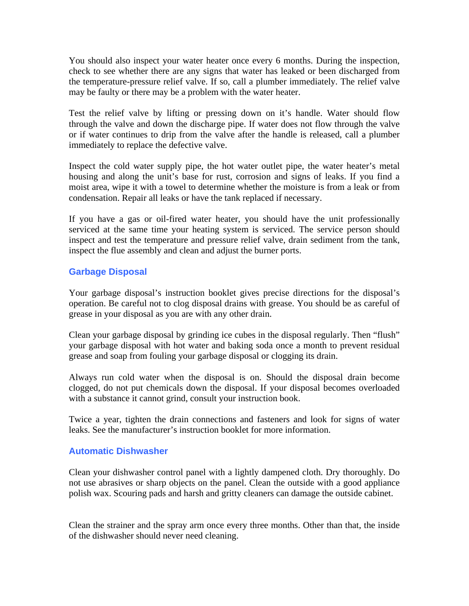You should also inspect your water heater once every 6 months. During the inspection, check to see whether there are any signs that water has leaked or been discharged from the temperature-pressure relief valve. If so, call a plumber immediately. The relief valve may be faulty or there may be a problem with the water heater.

Test the relief valve by lifting or pressing down on it's handle. Water should flow through the valve and down the discharge pipe. If water does not flow through the valve or if water continues to drip from the valve after the handle is released, call a plumber immediately to replace the defective valve.

Inspect the cold water supply pipe, the hot water outlet pipe, the water heater's metal housing and along the unit's base for rust, corrosion and signs of leaks. If you find a moist area, wipe it with a towel to determine whether the moisture is from a leak or from condensation. Repair all leaks or have the tank replaced if necessary.

If you have a gas or oil-fired water heater, you should have the unit professionally serviced at the same time your heating system is serviced. The service person should inspect and test the temperature and pressure relief valve, drain sediment from the tank, inspect the flue assembly and clean and adjust the burner ports.

## **Garbage Disposal**

Your garbage disposal's instruction booklet gives precise directions for the disposal's operation. Be careful not to clog disposal drains with grease. You should be as careful of grease in your disposal as you are with any other drain.

Clean your garbage disposal by grinding ice cubes in the disposal regularly. Then "flush" your garbage disposal with hot water and baking soda once a month to prevent residual grease and soap from fouling your garbage disposal or clogging its drain.

Always run cold water when the disposal is on. Should the disposal drain become clogged, do not put chemicals down the disposal. If your disposal becomes overloaded with a substance it cannot grind, consult your instruction book.

Twice a year, tighten the drain connections and fasteners and look for signs of water leaks. See the manufacturer's instruction booklet for more information.

## **Automatic Dishwasher**

Clean your dishwasher control panel with a lightly dampened cloth. Dry thoroughly. Do not use abrasives or sharp objects on the panel. Clean the outside with a good appliance polish wax. Scouring pads and harsh and gritty cleaners can damage the outside cabinet.

Clean the strainer and the spray arm once every three months. Other than that, the inside of the dishwasher should never need cleaning.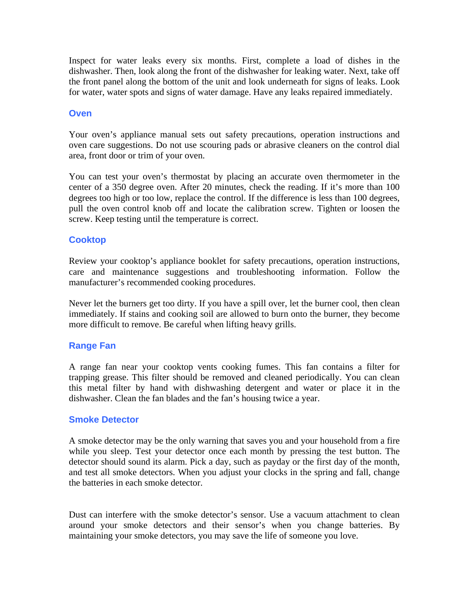Inspect for water leaks every six months. First, complete a load of dishes in the dishwasher. Then, look along the front of the dishwasher for leaking water. Next, take off the front panel along the bottom of the unit and look underneath for signs of leaks. Look for water, water spots and signs of water damage. Have any leaks repaired immediately.

#### **Oven**

Your oven's appliance manual sets out safety precautions, operation instructions and oven care suggestions. Do not use scouring pads or abrasive cleaners on the control dial area, front door or trim of your oven.

You can test your oven's thermostat by placing an accurate oven thermometer in the center of a 350 degree oven. After 20 minutes, check the reading. If it's more than 100 degrees too high or too low, replace the control. If the difference is less than 100 degrees, pull the oven control knob off and locate the calibration screw. Tighten or loosen the screw. Keep testing until the temperature is correct.

## **Cooktop**

Review your cooktop's appliance booklet for safety precautions, operation instructions, care and maintenance suggestions and troubleshooting information. Follow the manufacturer's recommended cooking procedures.

Never let the burners get too dirty. If you have a spill over, let the burner cool, then clean immediately. If stains and cooking soil are allowed to burn onto the burner, they become more difficult to remove. Be careful when lifting heavy grills.

#### **Range Fan**

A range fan near your cooktop vents cooking fumes. This fan contains a filter for trapping grease. This filter should be removed and cleaned periodically. You can clean this metal filter by hand with dishwashing detergent and water or place it in the dishwasher. Clean the fan blades and the fan's housing twice a year.

#### **Smoke Detector**

A smoke detector may be the only warning that saves you and your household from a fire while you sleep. Test your detector once each month by pressing the test button. The detector should sound its alarm. Pick a day, such as payday or the first day of the month, and test all smoke detectors. When you adjust your clocks in the spring and fall, change the batteries in each smoke detector.

Dust can interfere with the smoke detector's sensor. Use a vacuum attachment to clean around your smoke detectors and their sensor's when you change batteries. By maintaining your smoke detectors, you may save the life of someone you love.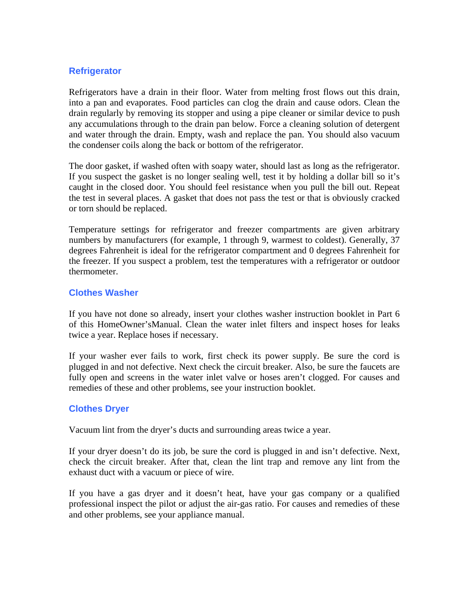## **Refrigerator**

Refrigerators have a drain in their floor. Water from melting frost flows out this drain, into a pan and evaporates. Food particles can clog the drain and cause odors. Clean the drain regularly by removing its stopper and using a pipe cleaner or similar device to push any accumulations through to the drain pan below. Force a cleaning solution of detergent and water through the drain. Empty, wash and replace the pan. You should also vacuum the condenser coils along the back or bottom of the refrigerator.

The door gasket, if washed often with soapy water, should last as long as the refrigerator. If you suspect the gasket is no longer sealing well, test it by holding a dollar bill so it's caught in the closed door. You should feel resistance when you pull the bill out. Repeat the test in several places. A gasket that does not pass the test or that is obviously cracked or torn should be replaced.

Temperature settings for refrigerator and freezer compartments are given arbitrary numbers by manufacturers (for example, 1 through 9, warmest to coldest). Generally, 37 degrees Fahrenheit is ideal for the refrigerator compartment and 0 degrees Fahrenheit for the freezer. If you suspect a problem, test the temperatures with a refrigerator or outdoor thermometer.

#### **Clothes Washer**

If you have not done so already, insert your clothes washer instruction booklet in Part 6 of this HomeOwner'sManual. Clean the water inlet filters and inspect hoses for leaks twice a year. Replace hoses if necessary.

If your washer ever fails to work, first check its power supply. Be sure the cord is plugged in and not defective. Next check the circuit breaker. Also, be sure the faucets are fully open and screens in the water inlet valve or hoses aren't clogged. For causes and remedies of these and other problems, see your instruction booklet.

## **Clothes Dryer**

Vacuum lint from the dryer's ducts and surrounding areas twice a year.

If your dryer doesn't do its job, be sure the cord is plugged in and isn't defective. Next, check the circuit breaker. After that, clean the lint trap and remove any lint from the exhaust duct with a vacuum or piece of wire.

If you have a gas dryer and it doesn't heat, have your gas company or a qualified professional inspect the pilot or adjust the air-gas ratio. For causes and remedies of these and other problems, see your appliance manual.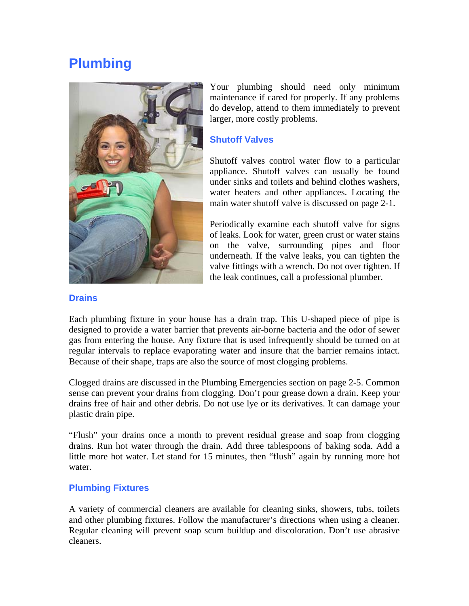## **Plumbing**



Your plumbing should need only minimum maintenance if cared for properly. If any problems do develop, attend to them immediately to prevent larger, more costly problems.

#### **Shutoff Valves**

Shutoff valves control water flow to a particular appliance. Shutoff valves can usually be found under sinks and toilets and behind clothes washers, water heaters and other appliances. Locating the main water shutoff valve is discussed on page 2-1.

Periodically examine each shutoff valve for signs of leaks. Look for water, green crust or water stains on the valve, surrounding pipes and floor underneath. If the valve leaks, you can tighten the valve fittings with a wrench. Do not over tighten. If the leak continues, call a professional plumber.

#### **Drains**

Each plumbing fixture in your house has a drain trap. This U-shaped piece of pipe is designed to provide a water barrier that prevents air-borne bacteria and the odor of sewer gas from entering the house. Any fixture that is used infrequently should be turned on at regular intervals to replace evaporating water and insure that the barrier remains intact. Because of their shape, traps are also the source of most clogging problems.

Clogged drains are discussed in the Plumbing Emergencies section on page 2-5. Common sense can prevent your drains from clogging. Don't pour grease down a drain. Keep your drains free of hair and other debris. Do not use lye or its derivatives. It can damage your plastic drain pipe.

"Flush" your drains once a month to prevent residual grease and soap from clogging drains. Run hot water through the drain. Add three tablespoons of baking soda. Add a little more hot water. Let stand for 15 minutes, then "flush" again by running more hot water.

## **Plumbing Fixtures**

A variety of commercial cleaners are available for cleaning sinks, showers, tubs, toilets and other plumbing fixtures. Follow the manufacturer's directions when using a cleaner. Regular cleaning will prevent soap scum buildup and discoloration. Don't use abrasive cleaners.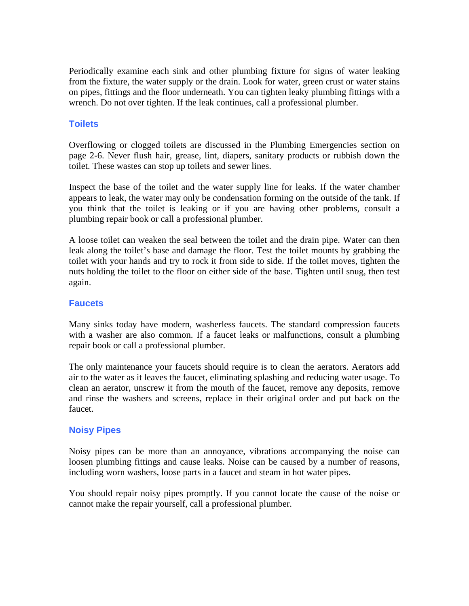Periodically examine each sink and other plumbing fixture for signs of water leaking from the fixture, the water supply or the drain. Look for water, green crust or water stains on pipes, fittings and the floor underneath. You can tighten leaky plumbing fittings with a wrench. Do not over tighten. If the leak continues, call a professional plumber.

## **Toilets**

Overflowing or clogged toilets are discussed in the Plumbing Emergencies section on page 2-6. Never flush hair, grease, lint, diapers, sanitary products or rubbish down the toilet. These wastes can stop up toilets and sewer lines.

Inspect the base of the toilet and the water supply line for leaks. If the water chamber appears to leak, the water may only be condensation forming on the outside of the tank. If you think that the toilet is leaking or if you are having other problems, consult a plumbing repair book or call a professional plumber.

A loose toilet can weaken the seal between the toilet and the drain pipe. Water can then leak along the toilet's base and damage the floor. Test the toilet mounts by grabbing the toilet with your hands and try to rock it from side to side. If the toilet moves, tighten the nuts holding the toilet to the floor on either side of the base. Tighten until snug, then test again.

#### **Faucets**

Many sinks today have modern, washerless faucets. The standard compression faucets with a washer are also common. If a faucet leaks or malfunctions, consult a plumbing repair book or call a professional plumber.

The only maintenance your faucets should require is to clean the aerators. Aerators add air to the water as it leaves the faucet, eliminating splashing and reducing water usage. To clean an aerator, unscrew it from the mouth of the faucet, remove any deposits, remove and rinse the washers and screens, replace in their original order and put back on the faucet.

## **Noisy Pipes**

Noisy pipes can be more than an annoyance, vibrations accompanying the noise can loosen plumbing fittings and cause leaks. Noise can be caused by a number of reasons, including worn washers, loose parts in a faucet and steam in hot water pipes.

You should repair noisy pipes promptly. If you cannot locate the cause of the noise or cannot make the repair yourself, call a professional plumber.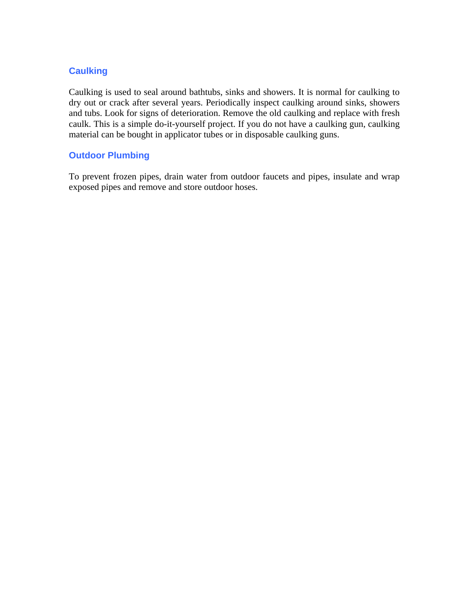## **Caulking**

Caulking is used to seal around bathtubs, sinks and showers. It is normal for caulking to dry out or crack after several years. Periodically inspect caulking around sinks, showers and tubs. Look for signs of deterioration. Remove the old caulking and replace with fresh caulk. This is a simple do-it-yourself project. If you do not have a caulking gun, caulking material can be bought in applicator tubes or in disposable caulking guns.

## **Outdoor Plumbing**

To prevent frozen pipes, drain water from outdoor faucets and pipes, insulate and wrap exposed pipes and remove and store outdoor hoses.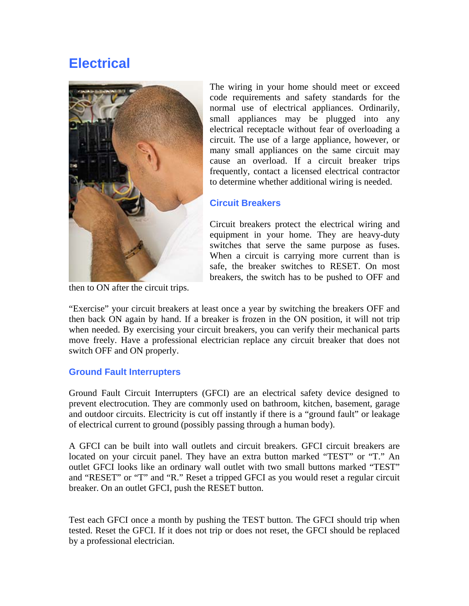## **Electrical**



then to ON after the circuit trips.

The wiring in your home should meet or exceed code requirements and safety standards for the normal use of electrical appliances. Ordinarily, small appliances may be plugged into any electrical receptacle without fear of overloading a circuit. The use of a large appliance, however, or many small appliances on the same circuit may cause an overload. If a circuit breaker trips frequently, contact a licensed electrical contractor to determine whether additional wiring is needed.

## **Circuit Breakers**

Circuit breakers protect the electrical wiring and equipment in your home. They are heavy-duty switches that serve the same purpose as fuses. When a circuit is carrying more current than is safe, the breaker switches to RESET. On most breakers, the switch has to be pushed to OFF and

"Exercise" your circuit breakers at least once a year by switching the breakers OFF and then back ON again by hand. If a breaker is frozen in the ON position, it will not trip when needed. By exercising your circuit breakers, you can verify their mechanical parts move freely. Have a professional electrician replace any circuit breaker that does not switch OFF and ON properly.

## **Ground Fault Interrupters**

Ground Fault Circuit Interrupters (GFCI) are an electrical safety device designed to prevent electrocution. They are commonly used on bathroom, kitchen, basement, garage and outdoor circuits. Electricity is cut off instantly if there is a "ground fault" or leakage of electrical current to ground (possibly passing through a human body).

A GFCI can be built into wall outlets and circuit breakers. GFCI circuit breakers are located on your circuit panel. They have an extra button marked "TEST" or "T." An outlet GFCI looks like an ordinary wall outlet with two small buttons marked "TEST" and "RESET" or "T" and "R." Reset a tripped GFCI as you would reset a regular circuit breaker. On an outlet GFCI, push the RESET button.

Test each GFCI once a month by pushing the TEST button. The GFCI should trip when tested. Reset the GFCI. If it does not trip or does not reset, the GFCI should be replaced by a professional electrician.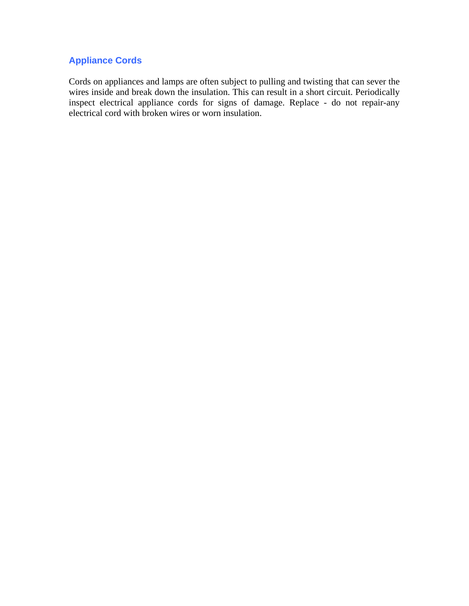## **Appliance Cords**

Cords on appliances and lamps are often subject to pulling and twisting that can sever the wires inside and break down the insulation. This can result in a short circuit. Periodically inspect electrical appliance cords for signs of damage. Replace - do not repair-any electrical cord with broken wires or worn insulation.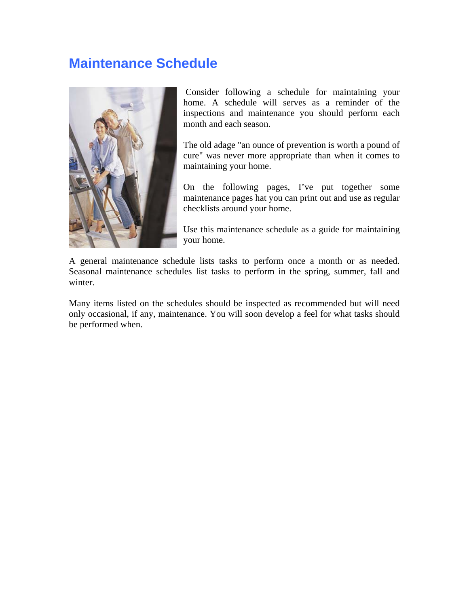## **Maintenance Schedule**



 Consider following a schedule for maintaining your home. A schedule will serves as a reminder of the inspections and maintenance you should perform each month and each season.

The old adage "an ounce of prevention is worth a pound of cure" was never more appropriate than when it comes to maintaining your home.

On the following pages, I've put together some maintenance pages hat you can print out and use as regular checklists around your home.

Use this maintenance schedule as a guide for maintaining your home.

A general maintenance schedule lists tasks to perform once a month or as needed. Seasonal maintenance schedules list tasks to perform in the spring, summer, fall and winter.

Many items listed on the schedules should be inspected as recommended but will need only occasional, if any, maintenance. You will soon develop a feel for what tasks should be performed when.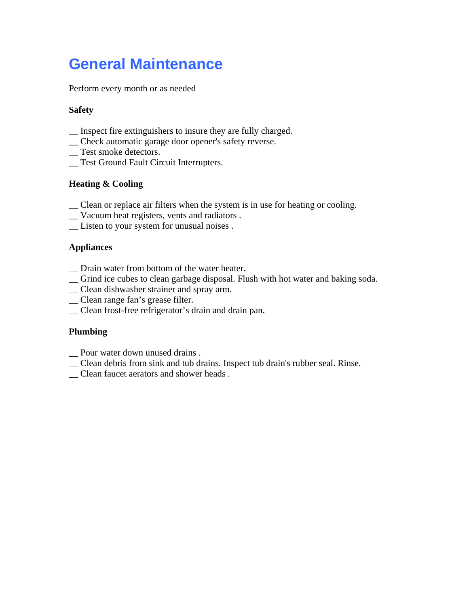# **General Maintenance**

Perform every month or as needed

## **Safety**

- \_\_ Inspect fire extinguishers to insure they are fully charged.
- \_\_ Check automatic garage door opener's safety reverse.
- \_Test smoke detectors.
- \_\_ Test Ground Fault Circuit Interrupters.

## **Heating & Cooling**

- \_\_ Clean or replace air filters when the system is in use for heating or cooling.
- \_\_ Vacuum heat registers, vents and radiators .
- \_\_ Listen to your system for unusual noises .

## **Appliances**

- \_\_ Drain water from bottom of the water heater.
- \_\_ Grind ice cubes to clean garbage disposal. Flush with hot water and baking soda.
- \_\_ Clean dishwasher strainer and spray arm.
- \_\_ Clean range fan's grease filter.
- \_\_ Clean frost-free refrigerator's drain and drain pan.

## **Plumbing**

- \_\_ Pour water down unused drains .
- \_\_ Clean debris from sink and tub drains. Inspect tub drain's rubber seal. Rinse.
- \_\_ Clean faucet aerators and shower heads .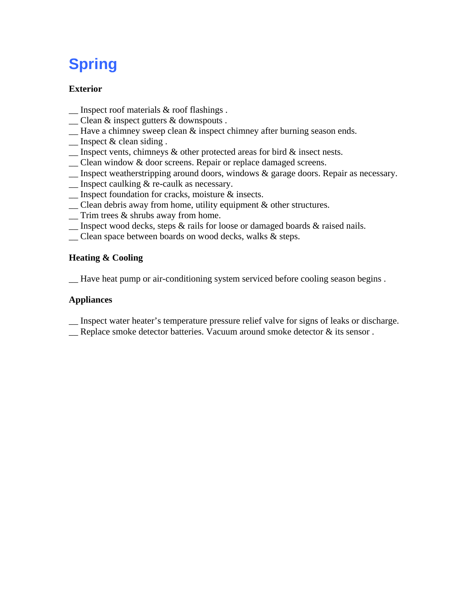# **Spring**

## **Exterior**

- $\Box$  Inspect roof materials & roof flashings.
- \_\_ Clean & inspect gutters & downspouts .
- $\equiv$  Have a chimney sweep clean  $\&$  inspect chimney after burning season ends.
- \_\_ Inspect & clean siding .
- $\Box$  Inspect vents, chimneys & other protected areas for bird & insect nests.
- \_\_ Clean window & door screens. Repair or replace damaged screens.
- \_\_ Inspect weatherstripping around doors, windows & garage doors. Repair as necessary.
- \_\_ Inspect caulking & re-caulk as necessary.
- \_\_ Inspect foundation for cracks, moisture & insects.
- \_\_ Clean debris away from home, utility equipment & other structures.
- \_\_ Trim trees & shrubs away from home.
- \_\_ Inspect wood decks, steps & rails for loose or damaged boards & raised nails.
- \_\_ Clean space between boards on wood decks, walks & steps.

## **Heating & Cooling**

\_\_ Have heat pump or air-conditioning system serviced before cooling season begins .

## **Appliances**

- \_\_ Inspect water heater's temperature pressure relief valve for signs of leaks or discharge.
- \_\_ Replace smoke detector batteries. Vacuum around smoke detector & its sensor .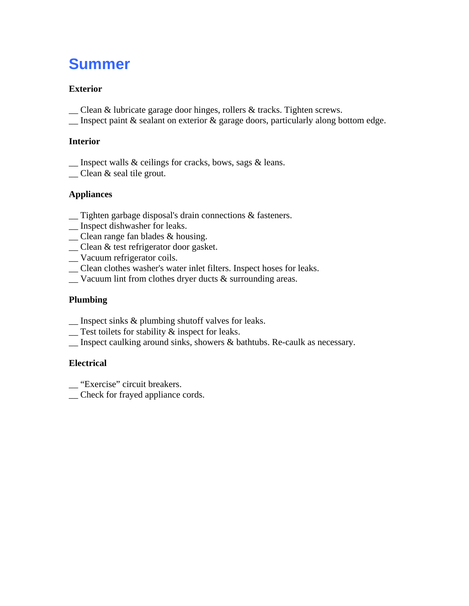## **Summer**

## **Exterior**

- \_\_ Clean & lubricate garage door hinges, rollers & tracks. Tighten screws.
- $\Box$  Inspect paint & sealant on exterior & garage doors, particularly along bottom edge.

## **Interior**

- \_\_ Inspect walls & ceilings for cracks, bows, sags & leans.
- \_\_ Clean & seal tile grout.

## **Appliances**

- \_\_ Tighten garbage disposal's drain connections & fasteners.
- \_\_ Inspect dishwasher for leaks.
- \_\_ Clean range fan blades & housing.
- \_\_ Clean & test refrigerator door gasket.
- \_\_ Vacuum refrigerator coils.
- \_\_ Clean clothes washer's water inlet filters. Inspect hoses for leaks.
- $\Box$  Vacuum lint from clothes dryer ducts & surrounding areas.

## **Plumbing**

- \_\_ Inspect sinks & plumbing shutoff valves for leaks.
- $\equiv$  Test toilets for stability  $\&$  inspect for leaks.
- \_\_ Inspect caulking around sinks, showers & bathtubs. Re-caulk as necessary.

## **Electrical**

\_\_ "Exercise" circuit breakers.

\_\_ Check for frayed appliance cords.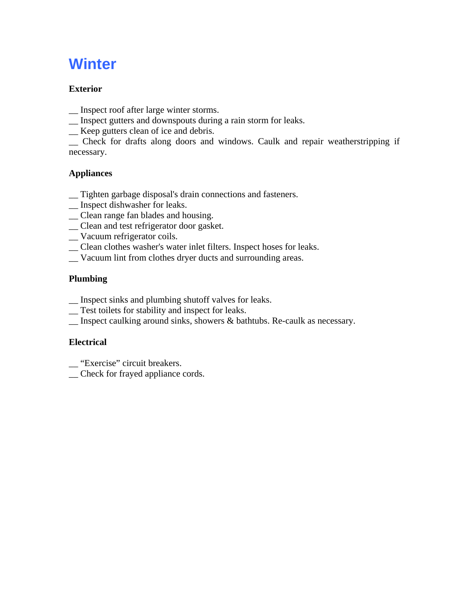# **Winter**

## **Exterior**

- \_\_ Inspect roof after large winter storms.
- \_\_ Inspect gutters and downspouts during a rain storm for leaks.
- \_\_ Keep gutters clean of ice and debris.

\_\_ Check for drafts along doors and windows. Caulk and repair weatherstripping if necessary.

## **Appliances**

- \_\_ Tighten garbage disposal's drain connections and fasteners.
- \_\_ Inspect dishwasher for leaks.
- \_\_ Clean range fan blades and housing.
- \_\_ Clean and test refrigerator door gasket.
- \_\_ Vacuum refrigerator coils.
- \_\_ Clean clothes washer's water inlet filters. Inspect hoses for leaks.
- \_\_ Vacuum lint from clothes dryer ducts and surrounding areas.

## **Plumbing**

- \_\_ Inspect sinks and plumbing shutoff valves for leaks.
- \_\_ Test toilets for stability and inspect for leaks.
- \_\_ Inspect caulking around sinks, showers & bathtubs. Re-caulk as necessary.

## **Electrical**

- \_\_ "Exercise" circuit breakers.
- \_\_ Check for frayed appliance cords.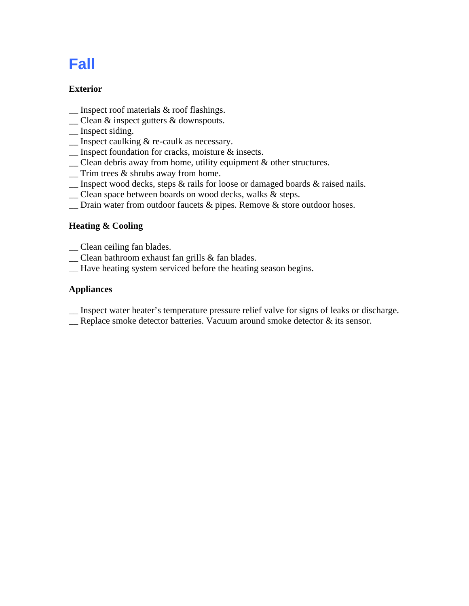# **Fall**

## **Exterior**

- $\Box$  Inspect roof materials & roof flashings.
- \_\_ Clean & inspect gutters & downspouts.
- \_\_ Inspect siding.
- \_\_ Inspect caulking & re-caulk as necessary.
- \_\_ Inspect foundation for cracks, moisture & insects.
- \_\_ Clean debris away from home, utility equipment & other structures.
- \_\_ Trim trees & shrubs away from home.
- \_\_ Inspect wood decks, steps & rails for loose or damaged boards & raised nails.
- \_\_ Clean space between boards on wood decks, walks & steps.
- \_\_ Drain water from outdoor faucets & pipes. Remove & store outdoor hoses.

## **Heating & Cooling**

- \_\_ Clean ceiling fan blades.
- \_\_ Clean bathroom exhaust fan grills & fan blades.
- \_\_ Have heating system serviced before the heating season begins.

## **Appliances**

- \_\_ Inspect water heater's temperature pressure relief valve for signs of leaks or discharge.
- \_\_ Replace smoke detector batteries. Vacuum around smoke detector & its sensor.